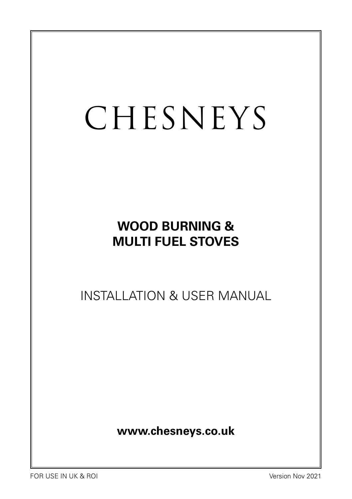# CHESNEYS

# **WOOD BURNING & MULTI FUEL STOVES**

INSTALLATION & USER MANUAL

**www.chesneys.co.uk**

FOR USE IN UK & ROI Version Nov 2021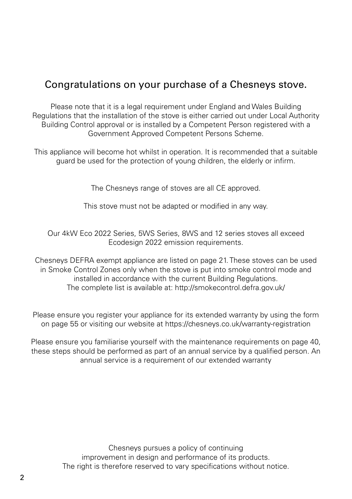### Congratulations on your purchase of a Chesneys stove.

Please note that it is a legal requirement under England and Wales Building Regulations that the installation of the stove is either carried out under Local Authority Building Control approval or is installed by a Competent Person registered with a Government Approved Competent Persons Scheme.

This appliance will become hot whilst in operation. It is recommended that a suitable guard be used for the protection of young children, the elderly or infirm.

The Chesneys range of stoves are all CE approved.

This stove must not be adapted or modified in any way.

Our 4kW Eco 2022 Series, 5WS Series, 8WS and 12 series stoves all exceed Ecodesign 2022 emission requirements.

Chesneys DEFRA exempt appliance are listed on page 21. These stoves can be used in Smoke Control Zones only when the stove is put into smoke control mode and installed in accordance with the current Building Regulations. The complete list is available at: http://smokecontrol.defra.gov.uk/

Please ensure you register your appliance for its extended warranty by using the form on page 55 or visiting our website at https://chesneys.co.uk/warranty-registration

Please ensure you familiarise yourself with the maintenance requirements on page 40, these steps should be performed as part of an annual service by a qualified person. An annual service is a requirement of our extended warranty

> Chesneys pursues a policy of continuing improvement in design and performance of its products. The right is therefore reserved to vary specifications without notice.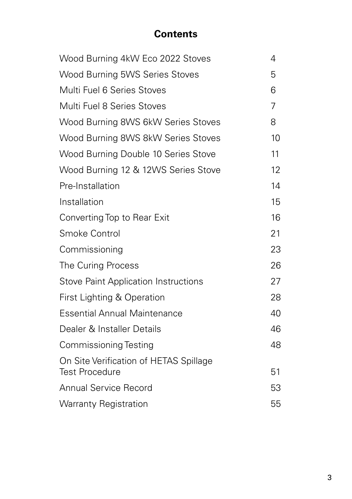# **Contents**

| Wood Burning 4kW Eco 2022 Stoves                                | 4  |
|-----------------------------------------------------------------|----|
| Wood Burning 5WS Series Stoves                                  | 5  |
| Multi Fuel 6 Series Stoves                                      | 6  |
| Multi Fuel 8 Series Stoves                                      | 7  |
| Wood Burning 8WS 6kW Series Stoves                              | 8  |
| Wood Burning 8WS 8kW Series Stoves                              | 10 |
| Wood Burning Double 10 Series Stove                             | 11 |
| Wood Burning 12 & 12WS Series Stove                             | 12 |
| Pre-Installation                                                | 14 |
| Installation                                                    | 15 |
| Converting Top to Rear Exit                                     | 16 |
| Smoke Control                                                   | 21 |
| Commissioning                                                   | 23 |
| The Curing Process                                              | 26 |
| <b>Stove Paint Application Instructions</b>                     | 27 |
| First Lighting & Operation                                      | 28 |
| <b>Essential Annual Maintenance</b>                             | 40 |
| Dealer & Installer Details                                      | 46 |
| <b>Commissioning Testing</b>                                    | 48 |
| On Site Verification of HETAS Spillage<br><b>Test Procedure</b> | 51 |
| <b>Annual Service Record</b>                                    | 53 |
| <b>Warranty Registration</b>                                    | 55 |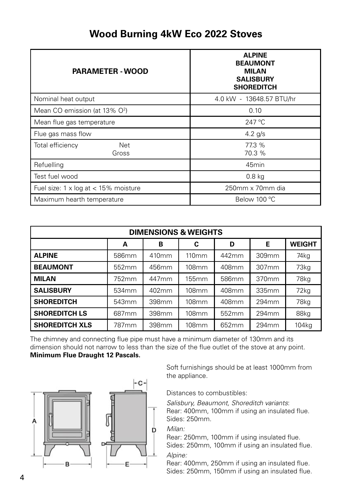## **Wood Burning 4kW Eco 2022 Stoves**

| <b>PARAMETER - WOOD</b>                       | <b>ALPINE</b><br><b>BEAUMONT</b><br><b>MILAN</b><br><b>SALISBURY</b><br><b>SHOREDITCH</b> |
|-----------------------------------------------|-------------------------------------------------------------------------------------------|
| Nominal heat output                           | 4.0 kW - 13648.57 BTU/hr                                                                  |
| Mean CO emission (at 13% O <sup>2</sup> )     | 0.10                                                                                      |
| Mean flue gas temperature                     | $247^{\circ}$ C                                                                           |
| Flue gas mass flow                            | $4.2$ g/s                                                                                 |
| Total efficiency<br><b>Net</b><br>Gross       | 77.3 %<br>70.3 %                                                                          |
| Refuelling                                    | 45 <sub>min</sub>                                                                         |
| Test fuel wood                                | $0.8$ kg                                                                                  |
| Fuel size: $1 \times \log at < 15\%$ moisture | 250mm x 70mm dia                                                                          |
| Maximum hearth temperature                    | Below 100 °C                                                                              |

| <b>DIMENSIONS &amp; WEIGHTS</b>        |                   |                   |                   |       |       |       |  |
|----------------------------------------|-------------------|-------------------|-------------------|-------|-------|-------|--|
| Е<br><b>WEIGHT</b><br>в<br>С<br>D<br>A |                   |                   |                   |       |       |       |  |
| <b>ALPINE</b>                          | 586mm             | 410 <sub>mm</sub> | 110 <sub>mm</sub> | 442mm | 309mm | 74kg  |  |
| <b>BEAUMONT</b>                        | 552mm             | 456mm             | <b>108mm</b>      | 408mm | 307mm | 73kg  |  |
| <b>MILAN</b>                           | 752mm             | 447mm             | 155mm             | 586mm | 370mm | 78kg  |  |
| <b>SALISBURY</b>                       | 534mm             | 402mm             | <b>108mm</b>      | 408mm | 335mm | 72kg  |  |
| <b>SHOREDITCH</b>                      | 543mm             | 398mm             | 108mm             | 408mm | 294mm | 78kg  |  |
| <b>SHOREDITCH LS</b>                   | 687 <sub>mm</sub> | 398mm             | 108mm             | 552mm | 294mm | 88kg  |  |
| <b>SHOREDITCH XLS</b>                  | 787 <sub>mm</sub> | 398mm             | <b>108mm</b>      | 652mm | 294mm | 104kg |  |

The chimney and connecting flue pipe must have a minimum diameter of 130mm and its dimension should not narrow to less than the size of the flue outlet of the stove at any point. **Minimum Flue Draught 12 Pascals.**



Soft furnishings should be at least 1000mm from the appliance.

Distances to combustibles:

*Salisbury, Beaumont, Shoreditch variants*: Rear: 400mm, 100mm if using an insulated flue. Sides: 250mm.

*Milan:* 

Rear: 250mm, 100mm if using insulated flue. Sides: 250mm, 100mm if using an insulated flue. *Alpine:* 

Rear: 400mm, 250mm if using an insulated flue. Sides: 250mm, 150mm if using an insulated flue.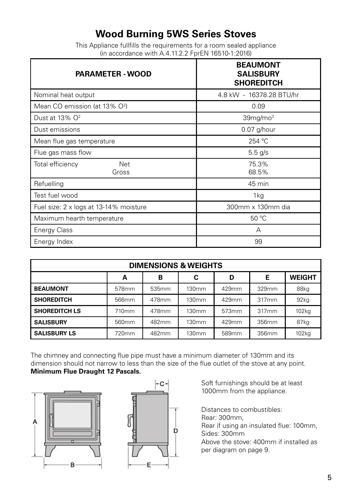# **Wood Burning 5WS Series Stoves**

This Appliance fullfills the requirements for a room sealed appliance (in accordance with A.4.11.2.2 FprEN 16510-1:2016)

| <b>PARAMETER - WOOD</b>                   | <b>BEAUMONT</b><br><b>SALISBURY</b><br><b>SHOREDITCH</b> |
|-------------------------------------------|----------------------------------------------------------|
| Nominal heat output                       | 4.8 kW - 16378.28 BTU/hr                                 |
| Mean CO emission (at 13% O <sup>2</sup> ) | 0.09                                                     |
| Dust at 13% O <sup>2</sup>                | 39mg/mol <sup>3</sup>                                    |
| Dust emissions                            | $0.07$ g/hour                                            |
| Mean flue gas temperature                 | 254 °C                                                   |
| Flue gas mass flow                        | $5.5$ g/s                                                |
| Total efficiency<br>Net<br>Gross          | 75.3%<br>68.5%                                           |
| Refuelling                                | 45 min                                                   |
| Test fuel wood                            | 1kg                                                      |
| Fuel size: 2 x logs at 13-14% moisture    | 300mm x 130mm dia                                        |
| Maximum hearth temperature                | 50 °C                                                    |
| <b>Energy Class</b>                       | А                                                        |
| Energy Index                              | 99                                                       |

| <b>DIMENSIONS &amp; WEIGHTS</b>        |                   |                   |                   |                   |       |                   |  |
|----------------------------------------|-------------------|-------------------|-------------------|-------------------|-------|-------------------|--|
| Е<br><b>WEIGHT</b><br>в<br>C<br>D<br>A |                   |                   |                   |                   |       |                   |  |
| <b>BEAUMONT</b>                        | 578mm             | 535 <sub>mm</sub> | 130 <sub>mm</sub> | 429mm             | 329mm | 88kg              |  |
| <b>SHOREDITCH</b>                      | 566 <sub>mm</sub> | 478mm             | 130mm             | 429mm             | 317mm | 92 <sub>kq</sub>  |  |
| <b>SHOREDITCH LS</b>                   | 710mm             | 478mm             | 130mm             | 573mm             | 317mm | 102 <sub>kq</sub> |  |
| <b>SALISBURY</b>                       | 560 <sub>mm</sub> | 482mm             | 130 <sub>mm</sub> | 429mm             | 356mm | 87kg              |  |
| <b>SALISBURY LS</b>                    | 720mm             | 482mm             | 130mm             | 589 <sub>mm</sub> | 356mm | 102 <sub>kq</sub> |  |

The chimney and connecting flue pipe must have a minimum diameter of 130mm and its dimension should not narrow to less than the size of the flue outlet of the stove at any point. **Minimum Flue Draught 12 Pascals.** 





Soft furnishings should be at least 1000mm from the appliance.

Distances to combustibles: Rear: 300mm, Rear if using an insulated flue: 100mm, Sides: 300mm Above the stove: 400mm if installed as per diagram on page 9.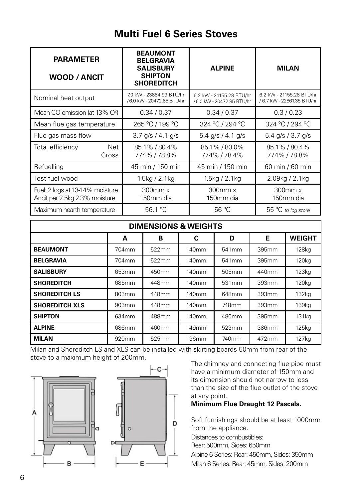# **Multi Fuel 6 Series Stoves**

| <b>PARAMETER</b><br>WOOD / ANCIT                                 | <b>BEAUMONT</b><br><b>BELGRAVIA</b><br><b>SALISBURY</b><br><b>SHIPTON</b><br><b>SHOREDITCH</b> | <b>ALPINE</b>                                         | <b>MILAN</b>                                           |  |
|------------------------------------------------------------------|------------------------------------------------------------------------------------------------|-------------------------------------------------------|--------------------------------------------------------|--|
| Nominal heat output                                              | 7.0 kW - 23884.99 BTU/hr<br>/6.0 kW - 20472.85 BTU/hr                                          | 6.2 kW - 21155.28 BTU/hr<br>/6.0 kW - 20472.85 BTU/hr | 6.2 kW - 21155.28 BTU/hr<br>/ 6.7 kW - 22861.35 BTU/hr |  |
| Mean CO emission (at 13% O <sup>2</sup> )                        | 0.34/0.37                                                                                      | 0.34/0.37                                             | 0.3/0.23                                               |  |
| Mean flue gas temperature                                        | 265 °C / 199 °C                                                                                | 324 °C / 294 °C                                       |                                                        |  |
| Flue gas mass flow                                               | $3.7$ g/s / 4.1 g/s                                                                            | 5.4 $q/s$ / 4.1 $q/s$                                 | 5.4 $q/s / 3.7 q/s$                                    |  |
| Net<br>Total efficiency<br>Gross                                 | 85.1%/80.4%<br>77.4% / 78.8%                                                                   | 85.1%/80.0%<br>77.4% / 78.4%                          | 85.1%/80.4%<br>77.4% / 78.8%                           |  |
| Refuelling                                                       | 45 min / 150 min                                                                               | 45 min / 150 min                                      | 60 min / 60 min                                        |  |
| Test fuel wood                                                   | 1.5 $kg/2.1kg$                                                                                 | 1.5 $kg/2.1kg$                                        | 2.09kg / 2.1kg                                         |  |
| Fuel: 2 logs at 13-14% moisture<br>Ancit per 2.5kg 2.3% moisture | $300$ mm $x$<br>150mm dia                                                                      | $300$ mm $x$<br>150mm dia                             | $300$ mm $\times$<br>150mm dia                         |  |
| Maximum hearth temperature                                       | 56.1 °C                                                                                        | 56 °C                                                 | 55 °C to log store                                     |  |

| <b>DIMENSIONS &amp; WEIGHTS</b> |  |
|---------------------------------|--|
|---------------------------------|--|

|                       | A                 | в     | C                 | D                 | Е     | <b>WEIGHT</b>     |
|-----------------------|-------------------|-------|-------------------|-------------------|-------|-------------------|
| <b>BEAUMONT</b>       | 704mm             | 522mm | 140mm             | 541mm             | 395mm | <b>128kg</b>      |
| <b>BELGRAVIA</b>      | 704 <sub>mm</sub> | 522mm | 140 <sub>mm</sub> | 541 <sub>mm</sub> | 395mm | 120 <sub>kg</sub> |
| <b>SALISBURY</b>      | 653mm             | 450mm | 140mm             | 505 <sub>mm</sub> | 440mm | 123kq             |
| <b>SHOREDITCH</b>     | 685mm             | 448mm | 140mm             | 531 <sub>mm</sub> | 393mm | 120 <sub>kg</sub> |
| <b>SHOREDITCH LS</b>  | 803mm             | 448mm | 140 <sub>mm</sub> | 648mm             | 393mm | 132 <sub>kq</sub> |
| <b>SHOREDITCH XLS</b> | 903mm             | 448mm | 140mm             | 748mm             | 393mm | 139 <sub>kg</sub> |
| <b>SHIPTON</b>        | 634mm             | 488mm | 140mm             | 480mm             | 395mm | 131 <sub>kg</sub> |
| <b>ALPINE</b>         | 686mm             | 460mm | 149mm             | 523mm             | 386mm | 125 <sub>kq</sub> |
| <b>MILAN</b>          | 920mm             | 525mm | 196 <sub>mm</sub> | 740mm             | 472mm | 127 <sub>ka</sub> |

Milan and Shoreditch LS and XLS can be installed with skirting boards 50mm from rear of the stove to a maximum height of 200mm.



The chimney and connecting flue pipe must have a minimum diameter of 150mm and its dimension should not narrow to less than the size of the flue outlet of the stove at any point.

#### **Minimum Flue Draught 12 Pascals.**

Soft furnishings should be at least 1000mm from the appliance.

Distances to combustibles:

Rear: 500mm, Sides: 650mm

Alpine 6 Series: Rear: 450mm, Sides: 350mm Milan 6 Series: Rear: 45mm, Sides: 200mm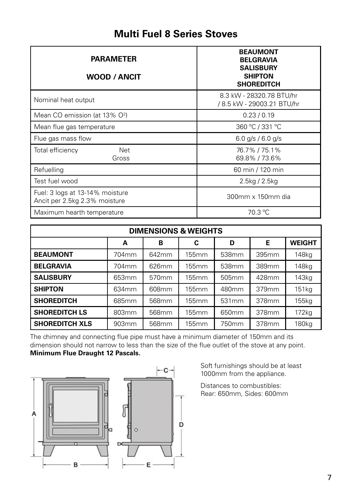# **Multi Fuel 8 Series Stoves**

| <b>PARAMETER</b><br><b>WOOD / ANCIT</b>                          | <b>BEAUMONT</b><br><b>BELGRAVIA</b><br><b>SALISBURY</b><br><b>SHIPTON</b><br><b>SHOREDITCH</b> |
|------------------------------------------------------------------|------------------------------------------------------------------------------------------------|
| Nominal heat output                                              | 8.3 kW - 28320.78 BTU/hr<br>/ 8.5 kW - 29003.21 BTU/hr                                         |
| Mean CO emission (at 13% O <sup>2</sup> )                        | 0.23/0.19                                                                                      |
| Mean flue gas temperature                                        | 360 °C / 331 °C                                                                                |
| Flue gas mass flow                                               | 6.0 g/s / 6.0 g/s                                                                              |
| Total efficiency<br>Net<br>Gross                                 | 76.7%/75.1%<br>69.8% / 73.6%                                                                   |
| Refuelling                                                       | 60 min / 120 min                                                                               |
| Test fuel wood                                                   | $2.5$ kg / $2.5$ kg                                                                            |
| Fuel: 3 logs at 13-14% moisture<br>Ancit per 2.5kg 2.3% moisture | 300mm x 150mm dia                                                                              |
| Maximum hearth temperature                                       | 70.3 °C                                                                                        |

| <b>DIMENSIONS &amp; WEIGHTS</b>        |                   |                   |              |                   |       |                   |  |
|----------------------------------------|-------------------|-------------------|--------------|-------------------|-------|-------------------|--|
| Е<br><b>WEIGHT</b><br>C<br>в<br>D<br>A |                   |                   |              |                   |       |                   |  |
| <b>BEAUMONT</b>                        | 704mm             | 642mm             | 155mm        | 538mm             | 395mm | 148kg             |  |
| <b>BELGRAVIA</b>                       | 704 <sub>mm</sub> | 626mm             | 155mm        | 538 <sub>mm</sub> | 389mm | 148kg             |  |
| <b>SALISBURY</b>                       | 653mm             | 570 <sub>mm</sub> | 155mm        | 505 <sub>mm</sub> | 428mm | 143 <sub>kg</sub> |  |
| <b>SHIPTON</b>                         | 634mm             | 608mm             | 155mm        | 480mm             | 379mm | 151kg             |  |
| <b>SHOREDITCH</b>                      | 685mm             | 568mm             | <b>155mm</b> | 531 <sub>mm</sub> | 378mm | 155kg             |  |
| <b>SHOREDITCH LS</b>                   | 803mm             | 568mm             | 155mm        | 650mm             | 378mm | 172 <sub>kg</sub> |  |
| <b>SHOREDITCH XLS</b>                  | 903mm             | 568mm             | 155mm        | 750mm             | 378mm | 180kg             |  |

The chimney and connecting flue pipe must have a minimum diameter of 150mm and its dimension should not narrow to less than the size of the flue outlet of the stove at any point. **Minimum Flue Draught 12 Pascals.**



Soft furnishings should be at least 1000mm from the appliance.

Distances to combustibles: Rear: 650mm, Sides: 600mm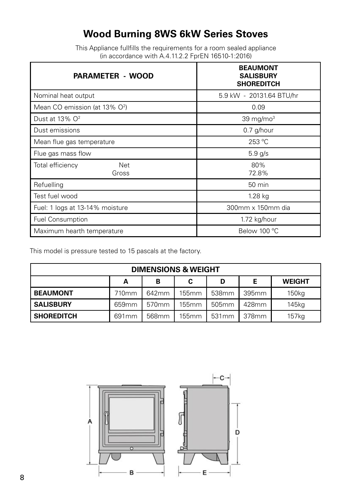# **Wood Burning 8WS 6kW Series Stoves**

This Appliance fullfills the requirements for a room sealed appliance (in accordance with A.4.11.2.2 FprEN 16510-1:2016)

| <b>PARAMETER - WOOD</b>                   | <b>BEAUMONT</b><br><b>SALISBURY</b><br><b>SHOREDITCH</b> |  |  |
|-------------------------------------------|----------------------------------------------------------|--|--|
| Nominal heat output                       | 5.9 kW - 20131.64 BTU/hr                                 |  |  |
| Mean CO emission (at 13% O <sup>2</sup> ) | 0.09                                                     |  |  |
| Dust at 13% $O2$                          | 39 mg/mo $3$                                             |  |  |
| Dust emissions                            | $0.7$ g/hour                                             |  |  |
| Mean flue gas temperature                 | 253 °C                                                   |  |  |
| Flue gas mass flow                        | $5.9$ g/s                                                |  |  |
| Total efficiency<br>Net<br>Gross          | 80%<br>72.8%                                             |  |  |
| Refuelling                                | 50 min                                                   |  |  |
| Test fuel wood                            | 1.28 kg                                                  |  |  |
| Fuel: 1 logs at 13-14% moisture           | 300mm x 150mm dia                                        |  |  |
| <b>Fuel Consumption</b>                   | 1.72 kg/hour                                             |  |  |
| Maximum hearth temperature                | Below 100 °C                                             |  |  |

This model is pressure tested to 15 pascals at the factory.

| <b>DIMENSIONS &amp; WEIGHT</b>         |                   |                   |       |                   |       |                   |  |  |
|----------------------------------------|-------------------|-------------------|-------|-------------------|-------|-------------------|--|--|
| Е<br><b>WEIGHT</b><br>в<br>D<br>C<br>А |                   |                   |       |                   |       |                   |  |  |
| <b>BEAUMONT</b>                        | 710mm             | 642mm             | 155mm | 538 <sub>mm</sub> | 395mm | 150 <sub>kg</sub> |  |  |
| <b>SALISBURY</b>                       | 659 <sub>mm</sub> | 570 <sub>mm</sub> | 155mm | 505mm             | 428mm | 145kg             |  |  |
| <b>SHOREDITCH</b>                      | 691 <sub>mm</sub> | 568mm             | 155mm | 531 <sub>mm</sub> | 378mm | 157kg             |  |  |

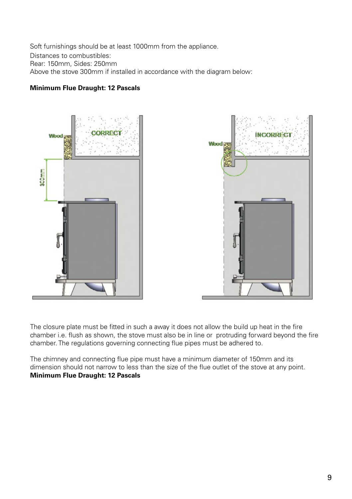Soft furnishings should be at least 1000mm from the appliance. Distances to combustibles: Rear: 150mm, Sides: 250mm Above the stove 300mm if installed in accordance with the diagram below:

#### **Minimum Flue Draught: 12 Pascals**



The closure plate must be fitted in such a away it does not allow the build up heat in the fire chamber i.e. flush as shown, the stove must also be in line or protruding forward beyond the fire chamber. The regulations governing connecting flue pipes must be adhered to.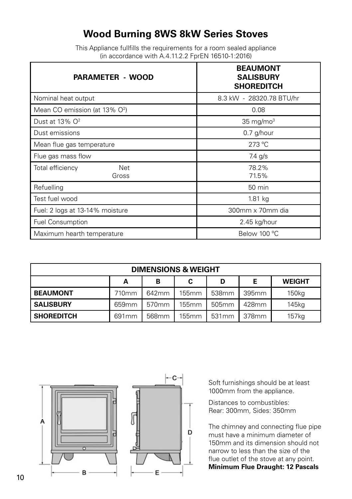# **Wood Burning 8WS 8kW Series Stoves**

This Appliance fullfills the requirements for a room sealed appliance (in accordance with A.4.11.2.2 FprEN 16510-1:2016)

| <b>PARAMETER - WOOD</b>                   | <b>BEAUMONT</b><br><b>SALISBURY</b><br><b>SHOREDITCH</b> |  |  |
|-------------------------------------------|----------------------------------------------------------|--|--|
| Nominal heat output                       | 8.3 kW - 28320.78 BTU/hr                                 |  |  |
| Mean CO emission (at 13% O <sup>2</sup> ) | 0.08                                                     |  |  |
| Dust at 13% O <sup>2</sup>                | $35 \text{ mg/mol}^3$                                    |  |  |
| Dust emissions                            | 0.7 g/hour                                               |  |  |
| Mean flue gas temperature                 | 273 °C                                                   |  |  |
| Flue gas mass flow                        | 7.4 g/s                                                  |  |  |
| Total efficiency<br>Net<br>Gross          | 78.2%<br>71.5%                                           |  |  |
| Refuelling                                | 50 min                                                   |  |  |
| Test fuel wood                            | 1.81 kg                                                  |  |  |
| Fuel: 2 logs at 13-14% moisture           | 300mm x 70mm dia                                         |  |  |
| <b>Fuel Consumption</b>                   | 2.45 kg/hour                                             |  |  |
| Maximum hearth temperature                | Below 100 °C                                             |  |  |

| <b>DIMENSIONS &amp; WEIGHT</b>         |                   |                   |       |                   |       |                   |
|----------------------------------------|-------------------|-------------------|-------|-------------------|-------|-------------------|
| Е<br><b>WEIGHT</b><br>в<br>D<br>C<br>А |                   |                   |       |                   |       |                   |
| <b>BEAUMONT</b>                        | 710mm             | 642mm             | 155mm | 538 <sub>mm</sub> | 395mm | 150 <sub>kg</sub> |
| <b>SALISBURY</b>                       | 659 <sub>mm</sub> | 570 <sub>mm</sub> | 155mm | 505 <sub>mm</sub> | 428mm | 145kg             |
| <b>SHOREDITCH</b>                      | 691mm             | 568mm             | 155mm | 531 <sub>mm</sub> | 378mm | 157kg             |



Soft furnishings should be at least 1000mm from the appliance.

Distances to combustibles: Rear: 300mm, Sides: 350mm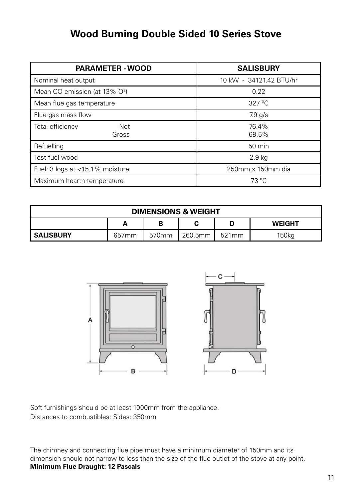# **Wood Burning Double Sided 10 Series Stove**

| <b>PARAMETER - WOOD</b>                   | <b>SALISBURY</b>        |  |
|-------------------------------------------|-------------------------|--|
| Nominal heat output                       | 10 kW - 34121.42 BTU/hr |  |
| Mean CO emission (at 13% O <sup>2</sup> ) | 0.22                    |  |
| Mean flue gas temperature                 | $327^{\circ}$ C         |  |
| Flue gas mass flow                        | $7.9$ g/s               |  |
| Total efficiency<br>Net<br>Gross          | 76.4%<br>69.5%          |  |
| Refuelling                                | 50 min                  |  |
| Test fuel wood                            | 2.9 <sub>kq</sub>       |  |
| Fuel: 3 logs at <15.1% moisture           | 250mm x 150mm dia       |  |
| Maximum hearth temperature                | 73 °C                   |  |

| <b>DIMENSIONS &amp; WEIGHT</b> |                   |                   |         |                   |                   |
|--------------------------------|-------------------|-------------------|---------|-------------------|-------------------|
|                                | А                 | В                 |         |                   | <b>WEIGHT</b>     |
| <b>SALISBURY</b>               | 657 <sub>mm</sub> | 570 <sub>mm</sub> | 260.5mm | 521 <sub>mm</sub> | 150 <sub>kg</sub> |



Soft furnishings should be at least 1000mm from the appliance. Distances to combustibles: Sides: 350mm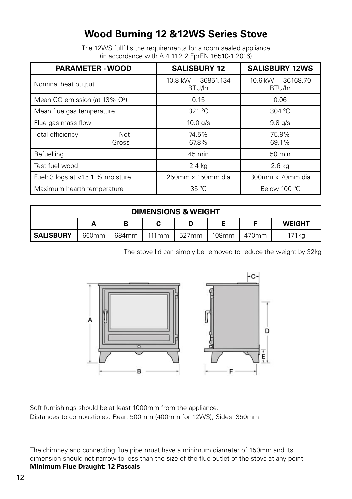# **Wood Burning 12 &12WS Series Stove**

The 12WS fullfills the requirements for a room sealed appliance (in accordance with A.4.11.2.2 FprEN 16510-1:2016)

| <b>PARAMETER - WOOD</b>                   |                     | <b>SALISBURY 12</b>           | <b>SALISBURY 12WS</b>        |
|-------------------------------------------|---------------------|-------------------------------|------------------------------|
| Nominal heat output                       |                     | 10.8 kW - 36851.134<br>BTU/hr | 10.6 kW - 36168.70<br>BTU/hr |
| Mean CO emission (at 13% O <sup>2</sup> ) |                     | 0.15                          | 0.06                         |
| Mean flue gas temperature                 |                     | 321 °C                        | 304 °C                       |
| Flue gas mass flow                        |                     | 10.0 $g/s$                    | $9.8$ g/s                    |
| Total efficiency                          | <b>Net</b><br>Gross | 74.5%<br>67.8%                | 75.9%<br>69.1%               |
| Refuelling                                |                     | 45 min                        | 50 min                       |
| Test fuel wood                            |                     | 2.4 kg                        | $2.6$ kg                     |
| Fuel: 3 logs at <15.1 % moisture          |                     | 250mm x 150mm dia             | 300mm x 70mm dia             |
| Maximum hearth temperature                |                     | $35^{\circ}$ C                | Below 100 °C                 |

| <b>DIMENSIONS &amp; WEIGHT</b> |                   |       |       |                   |                   |       |               |
|--------------------------------|-------------------|-------|-------|-------------------|-------------------|-------|---------------|
|                                | А                 | в     |       |                   |                   |       | <b>WEIGHT</b> |
| <b>SALISBURY</b>               | 660 <sub>mm</sub> | 684mm | 111mm | 527 <sub>mm</sub> | 108 <sub>mm</sub> | 470mm | 71kg          |

The stove lid can simply be removed to reduce the weight by 32kg



Soft furnishings should be at least 1000mm from the appliance. Distances to combustibles: Rear: 500mm (400mm for 12WS), Sides: 350mm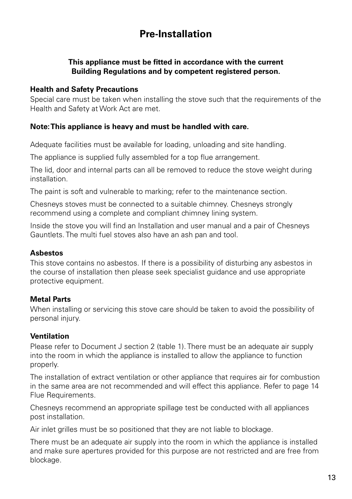# **Pre-Installation**

### **This appliance must be fitted in accordance with the current Building Regulations and by competent registered person.**

### **Health and Safety Precautions**

Special care must be taken when installing the stove such that the requirements of the Health and Safety at Work Act are met.

### **Note: This appliance is heavy and must be handled with care.**

Adequate facilities must be available for loading, unloading and site handling.

The appliance is supplied fully assembled for a top flue arrangement.

The lid, door and internal parts can all be removed to reduce the stove weight during installation.

The paint is soft and vulnerable to marking; refer to the maintenance section.

Chesneys stoves must be connected to a suitable chimney. Chesneys strongly recommend using a complete and compliant chimney lining system.

Inside the stove you will find an Installation and user manual and a pair of Chesneys Gauntlets. The multi fuel stoves also have an ash pan and tool.

### **Asbestos**

This stove contains no asbestos. If there is a possibility of disturbing any asbestos in the course of installation then please seek specialist guidance and use appropriate protective equipment.

### **Metal Parts**

When installing or servicing this stove care should be taken to avoid the possibility of personal injury.

### **Ventilation**

Please refer to Document J section 2 (table 1). There must be an adequate air supply into the room in which the appliance is installed to allow the appliance to function properly.

The installation of extract ventilation or other appliance that requires air for combustion in the same area are not recommended and will effect this appliance. Refer to page 14 Flue Requirements.

Chesneys recommend an appropriate spillage test be conducted with all appliances post installation.

Air inlet grilles must be so positioned that they are not liable to blockage.

There must be an adequate air supply into the room in which the appliance is installed and make sure apertures provided for this purpose are not restricted and are free from blockage.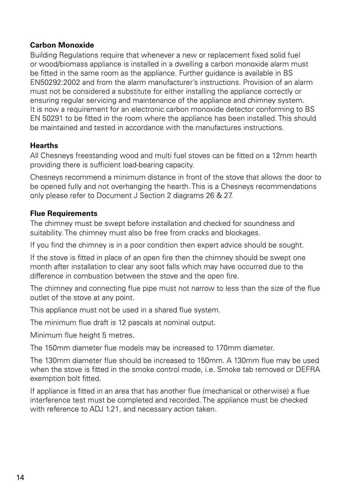### **Carbon Monoxide**

Building Regulations require that whenever a new or replacement fixed solid fuel or wood/biomass appliance is installed in a dwelling a carbon monoxide alarm must be fitted in the same room as the appliance. Further guidance is available in BS EN50292:2002 and from the alarm manufacturer's instructions. Provision of an alarm must not be considered a substitute for either installing the appliance correctly or ensuring regular servicing and maintenance of the appliance and chimney system. It is now a requirement for an electronic carbon monoxide detector conforming to BS EN 50291 to be fitted in the room where the appliance has been installed. This should be maintained and tested in accordance with the manufactures instructions.

### **Hearths**

All Chesneys freestanding wood and multi fuel stoves can be fitted on a 12mm hearth providing there is sufficient load-bearing capacity.

Chesneys recommend a minimum distance in front of the stove that allows the door to be opened fully and not overhanging the hearth. This is a Chesneys recommendations only please refer to Document J Section 2 diagrams 26 & 27.

### **Flue Requirements**

The chimney must be swept before installation and checked for soundness and suitability. The chimney must also be free from cracks and blockages.

If you find the chimney is in a poor condition then expert advice should be sought.

If the stove is fitted in place of an open fire then the chimney should be swept one month after installation to clear any soot falls which may have occurred due to the difference in combustion between the stove and the open fire.

The chimney and connecting flue pipe must not narrow to less than the size of the flue outlet of the stove at any point.

This appliance must not be used in a shared flue system.

The minimum flue draft is 12 pascals at nominal output.

Minimum flue height 5 metres.

The 150mm diameter flue models may be increased to 170mm diameter.

The 130mm diameter flue should be increased to 150mm. A 130mm flue may be used when the stove is fitted in the smoke control mode, i.e. Smoke tab removed or DEFRA exemption bolt fitted.

If appliance is fitted in an area that has another flue (mechanical or otherwise) a flue interference test must be completed and recorded. The appliance must be checked with reference to ADJ 1.21, and necessary action taken.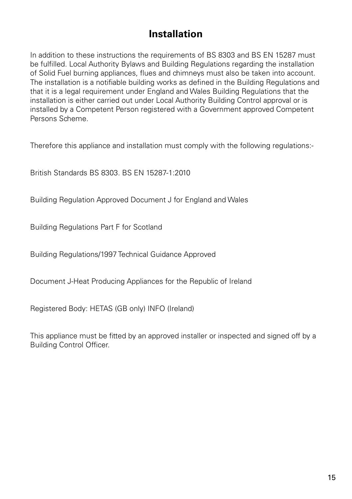# **Installation**

In addition to these instructions the requirements of BS 8303 and BS EN 15287 must be fulfilled. Local Authority Bylaws and Building Regulations regarding the installation of Solid Fuel burning appliances, flues and chimneys must also be taken into account. The installation is a notifiable building works as defined in the Building Regulations and that it is a legal requirement under England and Wales Building Regulations that the installation is either carried out under Local Authority Building Control approval or is installed by a Competent Person registered with a Government approved Competent Persons Scheme.

Therefore this appliance and installation must comply with the following regulations:-

British Standards BS 8303. BS EN 15287-1:2010

Building Regulation Approved Document J for England and Wales

Building Regulations Part F for Scotland

Building Regulations/1997 Technical Guidance Approved

Document J-Heat Producing Appliances for the Republic of Ireland

Registered Body: HETAS (GB only) INFO (Ireland)

This appliance must be fitted by an approved installer or inspected and signed off by a Building Control Officer.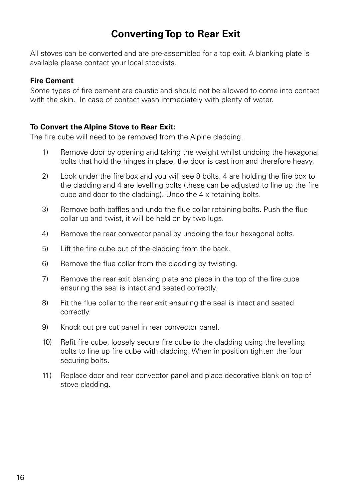# **Converting Top to Rear Exit**

All stoves can be converted and are pre-assembled for a top exit. A blanking plate is available please contact your local stockists.

### **Fire Cement**

Some types of fire cement are caustic and should not be allowed to come into contact with the skin. In case of contact wash immediately with plenty of water.

### **To Convert the Alpine Stove to Rear Exit:**

The fire cube will need to be removed from the Alpine cladding.

- 1) Remove door by opening and taking the weight whilst undoing the hexagonal bolts that hold the hinges in place, the door is cast iron and therefore heavy.
- 2) Look under the fire box and you will see 8 bolts. 4 are holding the fire box to the cladding and 4 are levelling bolts (these can be adjusted to line up the fire cube and door to the cladding). Undo the 4 x retaining bolts.
- 3) Remove both baffles and undo the flue collar retaining bolts. Push the flue collar up and twist, it will be held on by two lugs.
- 4) Remove the rear convector panel by undoing the four hexagonal bolts.
- 5) Lift the fire cube out of the cladding from the back.
- 6) Remove the flue collar from the cladding by twisting.
- 7) Remove the rear exit blanking plate and place in the top of the fire cube ensuring the seal is intact and seated correctly.
- 8) Fit the flue collar to the rear exit ensuring the seal is intact and seated correctly.
- 9) Knock out pre cut panel in rear convector panel.
- 10) Refit fire cube, loosely secure fire cube to the cladding using the levelling bolts to line up fire cube with cladding. When in position tighten the four securing bolts.
- 11) Replace door and rear convector panel and place decorative blank on top of stove cladding.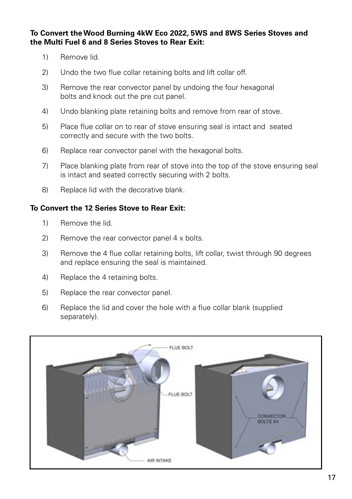### **To Convert the Wood Burning 4kW Eco 2022, 5WS and 8WS Series Stoves and the Multi Fuel 6 and 8 Series Stoves to Rear Exit:**

- 1) Remove lid.
- 2) Undo the two flue collar retaining bolts and lift collar off.
- 3) Remove the rear convector panel by undoing the four hexagonal bolts and knock out the pre cut panel.
- 4) Undo blanking plate retaining bolts and remove from rear of stove.
- 5) Place flue collar on to rear of stove ensuring seal is intact and seated correctly and secure with the two bolts.
- 6) Replace rear convector panel with the hexagonal bolts.
- 7) Place blanking plate from rear of stove into the top of the stove ensuring seal is intact and seated correctly securing with 2 bolts.
- 8) Replace lid with the decorative blank.

### **To Convert the 12 Series Stove to Rear Exit:**

- 1) Remove the lid.
- 2) Remove the rear convector panel 4 x bolts.
- 3) Remove the 4 flue collar retaining bolts, lift collar, twist through 90 degrees and replace ensuring the seal is maintained.
- 4) Replace the 4 retaining bolts.
- 5) Replace the rear convector panel.
- 6) Replace the lid and cover the hole with a flue collar blank (supplied separately).

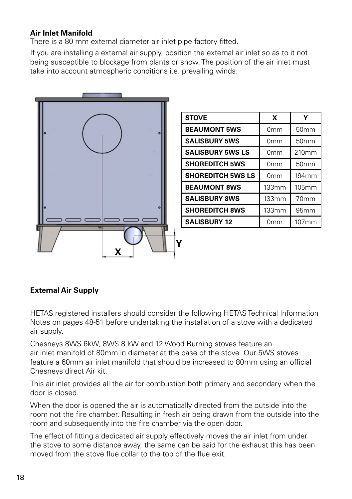### **Air Inlet Manifold**

There is a 80 mm external diameter air inlet pipe factory fitted.

If you are installing a external air supply, position the external air inlet so as to it not being susceptible to blockage from plants or snow. The position of the air inlet must take into account atmospheric conditions i.e. prevailing winds.



| <b>STOVE</b>             | X               | Y                 |
|--------------------------|-----------------|-------------------|
| <b>BEAUMONT 5WS</b>      | 0 <sub>mm</sub> | 50mm              |
| <b>SALISBURY 5WS</b>     | 0 <sub>mm</sub> | 50 <sub>mm</sub>  |
| <b>SALISBURY 5WS LS</b>  | 0mm             | 210mm             |
| <b>SHOREDITCH 5WS</b>    | 0 <sub>mm</sub> | 50mm              |
| <b>SHOREDITCH 5WS LS</b> | 0 <sub>mm</sub> | 194 <sub>mm</sub> |
| <b>BEAUMONT 8WS</b>      | 133mm           | 105mm             |
| <b>SALISBURY 8WS</b>     | 133mm           | 70 <sub>mm</sub>  |
| <b>SHOREDITCH 8WS</b>    | 133mm           | 95mm              |
| <b>SALISBURY 12</b>      | 0mm             | 107mm             |

### **External Air Supply**

HETAS registered installers should consider the following HETAS Technical Information Notes on pages 48-51 before undertaking the installation of a stove with a dedicated air supply.

Chesneys 8WS 6kW, 8WS 8 kW and 12 Wood Burning stoves feature an air inlet manifold of 80mm in diameter at the base of the stove. Our 5WS stoves feature a 60mm air inlet manifold that should be increased to 80mm using an official Chesneys direct Air kit.

This air inlet provides all the air for combustion both primary and secondary when the door is closed.

When the door is opened the air is automatically directed from the outside into the room not the fire chamber. Resulting in fresh air being drawn from the outside into the room and subsequently into the fire chamber via the open door.

The effect of fitting a dedicated air supply effectively moves the air inlet from under the stove to some distance away, the same can be said for the exhaust this has been moved from the stove flue collar to the top of the flue exit.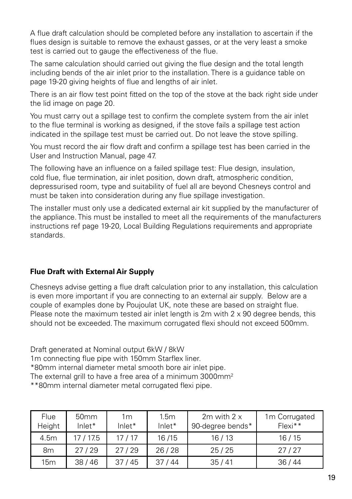A flue draft calculation should be completed before any installation to ascertain if the flues design is suitable to remove the exhaust gasses, or at the very least a smoke test is carried out to gauge the effectiveness of the flue.

The same calculation should carried out giving the flue design and the total length including bends of the air inlet prior to the installation. There is a guidance table on page 19-20 giving heights of flue and lengths of air inlet.

There is an air flow test point fitted on the top of the stove at the back right side under the lid image on page 20.

You must carry out a spillage test to confirm the complete system from the air inlet to the flue terminal is working as designed, if the stove fails a spillage test action indicated in the spillage test must be carried out. Do not leave the stove spilling.

You must record the air flow draft and confirm a spillage test has been carried in the User and Instruction Manual, page 47.

The following have an influence on a failed spillage test: Flue design, insulation, cold flue, flue termination, air inlet position, down draft, atmospheric condition, depressurised room, type and suitability of fuel all are beyond Chesneys control and must be taken into consideration during any flue spillage investigation.

The installer must only use a dedicated external air kit supplied by the manufacturer of the appliance. This must be installed to meet all the requirements of the manufacturers instructions ref page 19-20, Local Building Regulations requirements and appropriate standards.

### **Flue Draft with External Air Supply**

Chesneys advise getting a flue draft calculation prior to any installation, this calculation is even more important if you are connecting to an external air supply. Below are a couple of examples done by Poujoulat UK, note these are based on straight flue. Please note the maximum tested air inlet length is  $2m$  with  $2 \times 90$  degree bends, this should not be exceeded. The maximum corrugated flexi should not exceed 500mm.

Draft generated at Nominal output 6kW / 8kW

1m connecting flue pipe with 150mm Starflex liner.

\*80mm internal diameter metal smooth bore air inlet pipe.

The external grill to have a free area of a minimum 3000mm<sup>2</sup>

\*\*80mm internal diameter metal corrugated flexi pipe.

| Flue<br>Height | 50 <sub>mm</sub><br>$lnlet*$ | 1 <sub>m</sub><br>$lnlet*$ | 1.5 <sub>m</sub><br>$lnlet*$ | 2 $m$ with 2 $x$<br>90-degree bends* | 1 <sub>m</sub> Corrugated<br>$Flexi**$ |
|----------------|------------------------------|----------------------------|------------------------------|--------------------------------------|----------------------------------------|
| 4.5m           | 17 / 17.5                    | 17/17                      | 16/15                        | 16/13                                | 16/15                                  |
| 8m             | 27/29                        | 27/29                      | 26/28                        | 25/25                                | 27/27                                  |
| 15m            | 38/46                        | 37/45                      | 37/44                        | 35/41                                | 36/44                                  |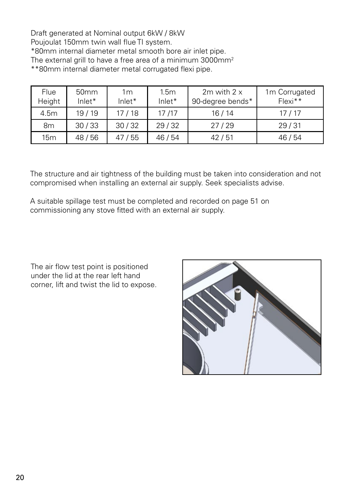Draft generated at Nominal output 6kW / 8kW Poujoulat 150mm twin wall flue TI system. \*80mm internal diameter metal smooth bore air inlet pipe. The external grill to have a free area of a minimum 3000mm<sup>2</sup> \*\*80mm internal diameter metal corrugated flexi pipe.

| Flue<br>Height  | 50 <sub>mm</sub><br>$lnlet*$ | 1m<br>Inlet* | 1.5 <sub>m</sub><br>$lnlet*$ | 2m with $2 \times$<br>90-degree bends* | 1m Corrugated<br>$Flexi**$ |
|-----------------|------------------------------|--------------|------------------------------|----------------------------------------|----------------------------|
| 4.5m            | 19/19                        | 17 / 18      | 17/17                        | 16/14                                  | 17/17                      |
| 8m              | 30/33                        | 30/32        | 29/32                        | 27/29                                  | 29/31                      |
| 15 <sub>m</sub> | 48/56                        | /55          | 46 / 54                      | 42/51                                  | 46 / 54                    |

The structure and air tightness of the building must be taken into consideration and not compromised when installing an external air supply. Seek specialists advise.

A suitable spillage test must be completed and recorded on page 51 on commissioning any stove fitted with an external air supply.

The air flow test point is positioned under the lid at the rear left hand corner, lift and twist the lid to expose.

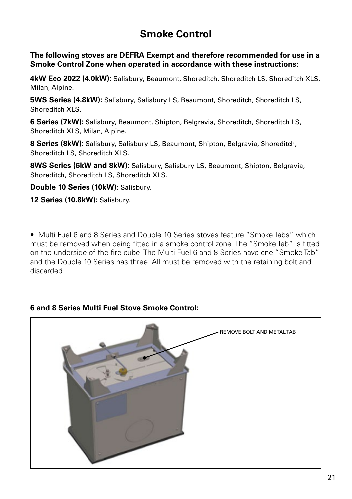# **Smoke Control**

**The following stoves are DEFRA Exempt and therefore recommended for use in a Smoke Control Zone when operated in accordance with these instructions:**

**4kW Eco 2022 (4.0kW):** Salisbury, Beaumont, Shoreditch, Shoreditch LS, Shoreditch XLS, Milan, Alpine.

**5WS Series (4.8kW):** Salisbury, Salisbury LS, Beaumont, Shoreditch, Shoreditch LS, Shoreditch XLS.

**6 Series (7kW):** Salisbury, Beaumont, Shipton, Belgravia, Shoreditch, Shoreditch LS, Shoreditch XLS, Milan, Alpine.

**8 Series (8kW):** Salisbury, Salisbury LS, Beaumont, Shipton, Belgravia, Shoreditch, Shoreditch LS, Shoreditch XLS.

**8WS Series (6kW and 8kW):** Salisbury, Salisbury LS, Beaumont, Shipton, Belgravia, Shoreditch, Shoreditch LS, Shoreditch XLS.

**Double 10 Series (10kW):** Salisbury.

**12 Series (10.8kW):** Salisbury.

• Multi Fuel 6 and 8 Series and Double 10 Series stoves feature "Smoke Tabs" which must be removed when being fitted in a smoke control zone. The "Smoke Tab" is fitted on the underside of the fire cube. The Multi Fuel 6 and 8 Series have one "Smoke Tab" and the Double 10 Series has three. All must be removed with the retaining bolt and discarded.

### **6 and 8 Series Multi Fuel Stove Smoke Control:**

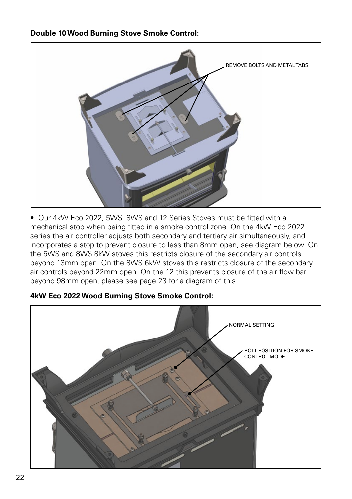### **Double 10 Wood Burning Stove Smoke Control:**



• Our 4kW Eco 2022, 5WS, 8WS and 12 Series Stoves must be fitted with a mechanical stop when being fitted in a smoke control zone. On the 4kW Eco 2022 series the air controller adjusts both secondary and tertiary air simultaneously, and incorporates a stop to prevent closure to less than 8mm open, see diagram below. On the 5WS and 8WS 8kW stoves this restricts closure of the secondary air controls beyond 13mm open. On the 8WS 6kW stoves this restricts closure of the secondary air controls beyond 22mm open. On the 12 this prevents closure of the air flow bar beyond 98mm open, please see page 23 for a diagram of this.



### **4kW Eco 2022 Wood Burning Stove Smoke Control:**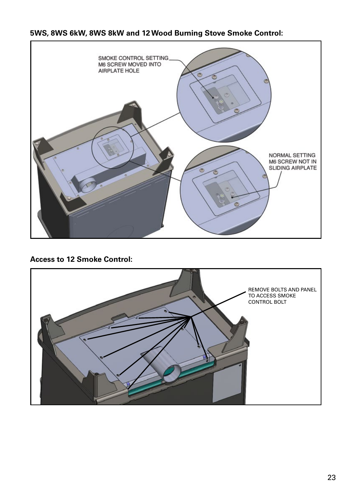### **5WS, 8WS 6kW, 8WS 8kW and 12 Wood Burning Stove Smoke Control:**



**Access to 12 Smoke Control:**

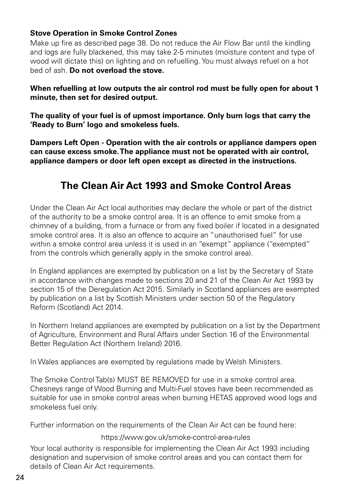### **Stove Operation in Smoke Control Zones**

Make up fire as described page 38. Do not reduce the Air Flow Bar until the kindling and logs are fully blackened, this may take 2-5 minutes (moisture content and type of wood will dictate this) on lighting and on refuelling. You must always refuel on a hot bed of ash. **Do not overload the stove.**

### **When refuelling at low outputs the air control rod must be fully open for about 1 minute, then set for desired output.**

**The quality of your fuel is of upmost importance. Only burn logs that carry the 'Ready to Burn' logo and smokeless fuels.**

**Dampers Left Open - Operation with the air controls or appliance dampers open can cause excess smoke. The appliance must not be operated with air control, appliance dampers or door left open except as directed in the instructions.**

# **The Clean Air Act 1993 and Smoke Control Areas**

Under the Clean Air Act local authorities may declare the whole or part of the district of the authority to be a smoke control area. It is an offence to emit smoke from a chimney of a building, from a furnace or from any fixed boiler if located in a designated smoke control area. It is also an offence to acquire an "unauthorised fuel" for use within a smoke control area unless it is used in an "exempt" appliance ("exempted" from the controls which generally apply in the smoke control area).

In England appliances are exempted by publication on a list by the Secretary of State in accordance with changes made to sections 20 and 21 of the Clean Air Act 1993 by section 15 of the Deregulation Act 2015. Similarly in Scotland appliances are exempted by publication on a list by Scottish Ministers under section 50 of the Regulatory Reform (Scotland) Act 2014.

In Northern Ireland appliances are exempted by publication on a list by the Department of Agriculture, Environment and Rural Affairs under Section 16 of the Environmental Better Regulation Act (Northern Ireland) 2016.

In Wales appliances are exempted by regulations made by Welsh Ministers.

The Smoke Control Tab(s) MUST BE REMOVED for use in a smoke control area. Chesneys range of Wood Burning and Multi-Fuel stoves have been recommended as suitable for use in smoke control areas when burning HETAS approved wood logs and smokeless fuel only.

Further information on the requirements of the Clean Air Act can be found here:

https://www.gov.uk/smoke-control-area-rules

Your local authority is responsible for implementing the Clean Air Act 1993 including designation and supervision of smoke control areas and you can contact them for details of Clean Air Act requirements.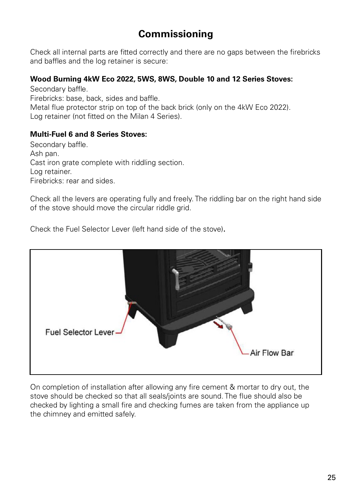# **Commissioning**

Check all internal parts are fitted correctly and there are no gaps between the firebricks and baffles and the log retainer is secure:

### **Wood Burning 4kW Eco 2022, 5WS, 8WS, Double 10 and 12 Series Stoves:**

Secondary baffle. Firebricks: base, back, sides and baffle. Metal flue protector strip on top of the back brick (only on the 4kW Eco 2022). Log retainer (not fitted on the Milan 4 Series).

### **Multi-Fuel 6 and 8 Series Stoves:**

Secondary baffle. Ash pan. Cast iron grate complete with riddling section. Log retainer. Firebricks: rear and sides.

Check all the levers are operating fully and freely. The riddling bar on the right hand side of the stove should move the circular riddle grid.

Check the Fuel Selector Lever (left hand side of the stove).



On completion of installation after allowing any fire cement & mortar to dry out, the stove should be checked so that all seals/joints are sound. The flue should also be checked by lighting a small fire and checking fumes are taken from the appliance up the chimney and emitted safely.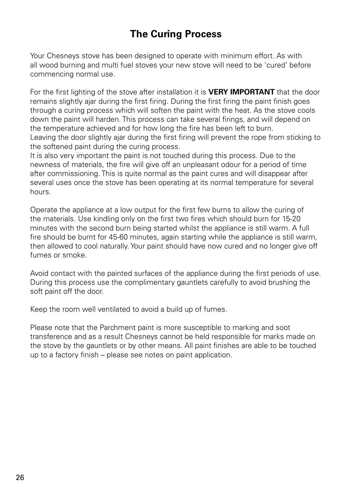# **The Curing Process**

Your Chesneys stove has been designed to operate with minimum effort. As with all wood burning and multi fuel stoves your new stove will need to be 'cured' before commencing normal use.

For the first lighting of the stove after installation it is **VERY IMPORTANT** that the door remains slightly ajar during the first firing. During the first firing the paint finish goes through a curing process which will soften the paint with the heat. As the stove cools down the paint will harden. This process can take several firings, and will depend on the temperature achieved and for how long the fire has been left to burn. Leaving the door slightly ajar during the first firing will prevent the rope from sticking to the softened paint during the curing process.

It is also very important the paint is not touched during this process. Due to the newness of materials, the fire will give off an unpleasant odour for a period of time after commissioning. This is quite normal as the paint cures and will disappear after several uses once the stove has been operating at its normal temperature for several hours.

Operate the appliance at a low output for the first few burns to allow the curing of the materials. Use kindling only on the first two fires which should burn for 15-20 minutes with the second burn being started whilst the appliance is still warm. A full fire should be burnt for 45-60 minutes, again starting while the appliance is still warm, then allowed to cool naturally. Your paint should have now cured and no longer give off fumes or smoke.

Avoid contact with the painted surfaces of the appliance during the first periods of use. During this process use the complimentary gauntlets carefully to avoid brushing the soft paint off the door.

Keep the room well ventilated to avoid a build up of fumes.

Please note that the Parchment paint is more susceptible to marking and soot transference and as a result Chesneys cannot be held responsible for marks made on the stove by the gauntlets or by other means. All paint finishes are able to be touched up to a factory finish – please see notes on paint application.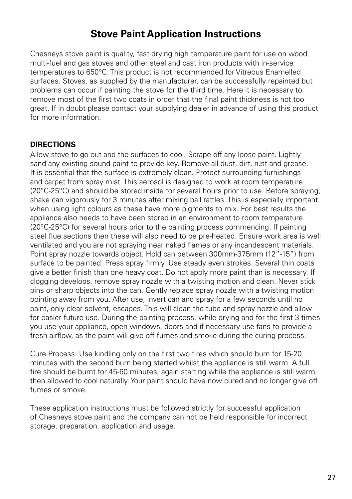# **Stove Paint Application Instructions**

Chesneys stove paint is quality, fast drying high temperature paint for use on wood, multi-fuel and gas stoves and other steel and cast iron products with in-service temperatures to 650°C. This product is not recommended for Vitreous Enamelled surfaces. Stoves, as supplied by the manufacturer, can be successfully repainted but problems can occur if painting the stove for the third time. Here it is necessary to remove most of the first two coats in order that the final paint thickness is not too great. If in doubt please contact your supplying dealer in advance of using this product for more information.

### **DIRECTIONS**

Allow stove to go out and the surfaces to cool. Scrape off any loose paint. Lightly sand any existing sound paint to provide key. Remove all dust, dirt, rust and grease. It is essential that the surface is extremely clean. Protect surrounding furnishings and carpet from spray mist. This aerosol is designed to work at room temperature (20°C-25°C) and should be stored inside for several hours prior to use. Before spraying, shake can vigorously for 3 minutes after mixing ball rattles. This is especially important when using light colours as these have more pigments to mix. For best results the appliance also needs to have been stored in an environment to room temperature (20°C-25°C) for several hours prior to the painting process commencing. If painting steel flue sections then these will also need to be pre-heated. Ensure work area is well ventilated and you are not spraying near naked flames or any incandescent materials. Point spray nozzle towards object. Hold can between 300mm-375mm (12"-15") from surface to be painted. Press spray firmly. Use steady even strokes. Several thin coats give a better finish than one heavy coat. Do not apply more paint than is necessary. If clogging develops, remove spray nozzle with a twisting motion and clean. Never stick pins or sharp objects into the can. Gently replace spray nozzle with a twisting motion pointing away from you. After use, invert can and spray for a few seconds until no paint, only clear solvent, escapes. This will clean the tube and spray nozzle and allow for easier future use. During the painting process, while drying and for the first 3 times you use your appliance, open windows, doors and if necessary use fans to provide a fresh airflow, as the paint will give off fumes and smoke during the curing process.

Cure Process: Use kindling only on the first two fires which should burn for 15-20 minutes with the second burn being started whilst the appliance is still warm. A full fire should be burnt for 45-60 minutes, again starting while the appliance is still warm, then allowed to cool naturally. Your paint should have now cured and no longer give off fumes or smoke.

These application instructions must be followed strictly for successful application of Chesneys stove paint and the company can not be held responsible for incorrect storage, preparation, application and usage.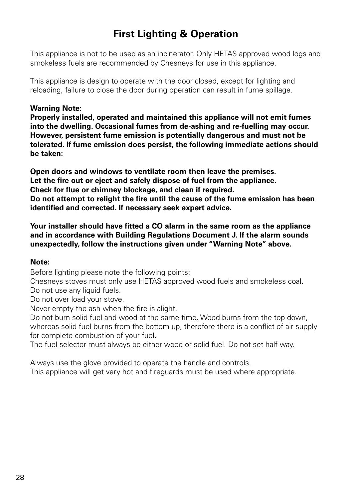# **First Lighting & Operation**

This appliance is not to be used as an incinerator. Only HETAS approved wood logs and smokeless fuels are recommended by Chesneys for use in this appliance.

This appliance is design to operate with the door closed, except for lighting and reloading, failure to close the door during operation can result in fume spillage.

### **Warning Note:**

**Properly installed, operated and maintained this appliance will not emit fumes into the dwelling. Occasional fumes from de-ashing and re-fuelling may occur. However, persistent fume emission is potentially dangerous and must not be tolerated. If fume emission does persist, the following immediate actions should be taken:**

**Open doors and windows to ventilate room then leave the premises. Let the fire out or eject and safely dispose of fuel from the appliance. Check for flue or chimney blockage, and clean if required. Do not attempt to relight the fire until the cause of the fume emission has been identified and corrected. If necessary seek expert advice.**

**Your installer should have fitted a CO alarm in the same room as the appliance and in accordance with Building Regulations Document J. If the alarm sounds unexpectedly, follow the instructions given under "Warning Note" above.**

#### **Note:**

Before lighting please note the following points:

Chesneys stoves must only use HETAS approved wood fuels and smokeless coal. Do not use any liquid fuels.

Do not over load your stove.

Never empty the ash when the fire is alight.

Do not burn solid fuel and wood at the same time. Wood burns from the top down whereas solid fuel burns from the bottom up, therefore there is a conflict of air supply for complete combustion of your fuel.

The fuel selector must always be either wood or solid fuel. Do not set half way.

Always use the glove provided to operate the handle and controls. This appliance will get very hot and fireguards must be used where appropriate.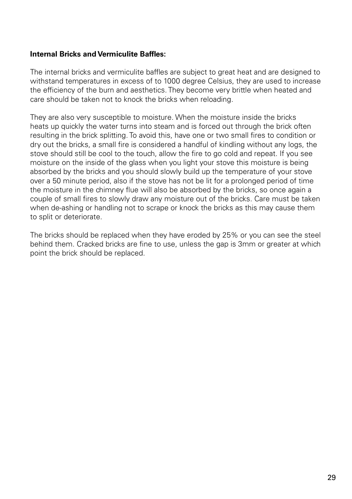### **Internal Bricks and Vermiculite Baffles:**

The internal bricks and vermiculite baffles are subject to great heat and are designed to withstand temperatures in excess of to 1000 degree Celsius, they are used to increase the efficiency of the burn and aesthetics. They become very brittle when heated and care should be taken not to knock the bricks when reloading.

They are also very susceptible to moisture. When the moisture inside the bricks heats up quickly the water turns into steam and is forced out through the brick often resulting in the brick splitting. To avoid this, have one or two small fires to condition or dry out the bricks, a small fire is considered a handful of kindling without any logs, the stove should still be cool to the touch, allow the fire to go cold and repeat. If you see moisture on the inside of the glass when you light your stove this moisture is being absorbed by the bricks and you should slowly build up the temperature of your stove over a 50 minute period, also if the stove has not be lit for a prolonged period of time the moisture in the chimney flue will also be absorbed by the bricks, so once again a couple of small fires to slowly draw any moisture out of the bricks. Care must be taken when de-ashing or handling not to scrape or knock the bricks as this may cause them to split or deteriorate.

The bricks should be replaced when they have eroded by 25% or you can see the steel behind them. Cracked bricks are fine to use, unless the gap is 3mm or greater at which point the brick should be replaced.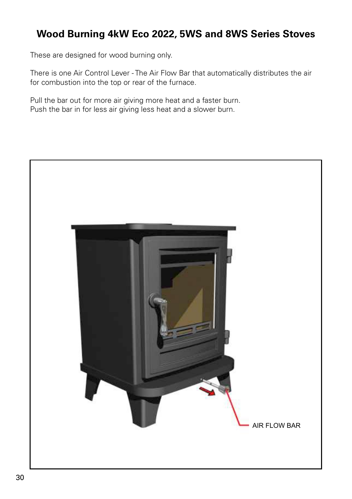# **Wood Burning 4kW Eco 2022, 5WS and 8WS Series Stoves**

These are designed for wood burning only.

There is one Air Control Lever - The Air Flow Bar that automatically distributes the air for combustion into the top or rear of the furnace.

Pull the bar out for more air giving more heat and a faster burn. Push the bar in for less air giving less heat and a slower burn.

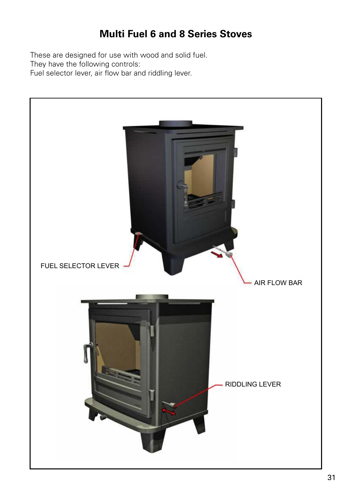# **Multi Fuel 6 and 8 Series Stoves**

These are designed for use with wood and solid fuel. They have the following controls: Fuel selector lever, air flow bar and riddling lever.

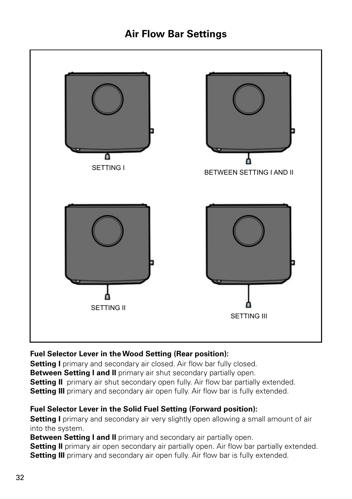# **Air Flow Bar Settings**



### **Fuel Selector Lever in the Wood Setting (Rear position):**

**Setting I** primary and secondary air closed. Air flow bar fully closed.

**Between Setting I and II** primary air shut secondary partially open.

**Setting II** primary air shut secondary open fully. Air flow bar partially extended.

**Setting III** primary and secondary air open fully. Air flow bar is fully extended.

### **Fuel Selector Lever in the Solid Fuel Setting (Forward position):**

**Setting I** primary and secondary air very slightly open allowing a small amount of air into the system.

**Between Setting I and II** primary and secondary air partially open.

**Setting II** primary air open secondary air partially open. Air flow bar partially extended. **Setting III** primary and secondary air open fully. Air flow bar is fully extended.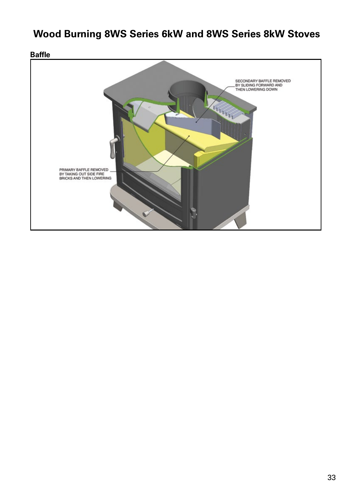# **Wood Burning 8WS Series 6kW and 8WS Series 8kW Stoves**

**Baffle**SECONDARY BAFFLE REMOVED<br>BY SLIDING FORWARD AND<br>THEN LOWERING DOWN KA PRIMARY BAFFLE REMOVED<br>BY TAKING OUT SIDE FIRE<br>BRICKS AND THEN LOWERING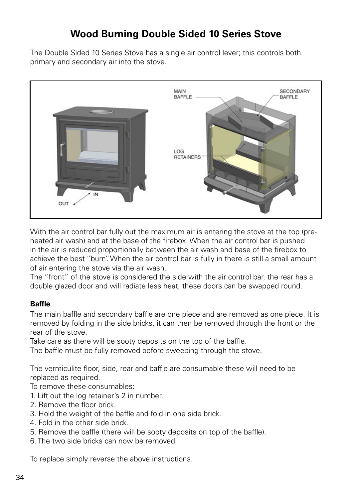# **Wood Burning Double Sided 10 Series Stove**

The Double Sided 10 Series Stove has a single air control lever; this controls both primary and secondary air into the stove.



With the air control bar fully out the maximum air is entering the stove at the top (preheated air wash) and at the base of the firebox. When the air control bar is pushed in the air is reduced proportionally between the air wash and base of the firebox to achieve the best "burn". When the air control bar is fully in there is still a small amount of air entering the stove via the air wash.

The "front" of the stove is considered the side with the air control bar, the rear has a double glazed door and will radiate less heat, these doors can be swapped round.

### **Baffle**

The main baffle and secondary baffle are one piece and are removed as one piece. It is removed by folding in the side bricks, it can then be removed through the front or the rear of the stove.

Take care as there will be sooty deposits on the top of the baffle.

The baffle must be fully removed before sweeping through the stove.

The vermiculite floor, side, rear and baffle are consumable these will need to be replaced as required.

To remove these consumables:

- 1. Lift out the log retainer's 2 in number.
- 2. Remove the floor brick.
- 3. Hold the weight of the baffle and fold in one side brick.
- 4. Fold in the other side brick.
- 5. Remove the baffle (there will be sooty deposits on top of the baffle).
- 6. The two side bricks can now be removed.

To replace simply reverse the above instructions.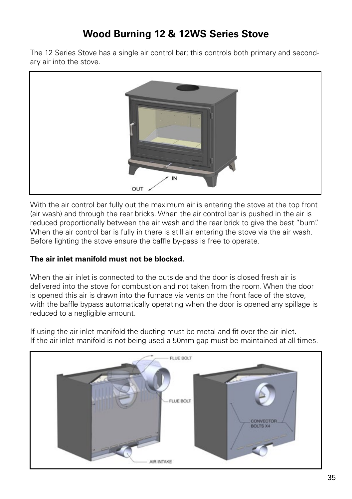# **Wood Burning 12 & 12WS Series Stove**

The 12 Series Stove has a single air control bar; this controls both primary and secondary air into the stove.



With the air control bar fully out the maximum air is entering the stove at the top front (air wash) and through the rear bricks. When the air control bar is pushed in the air is reduced proportionally between the air wash and the rear brick to give the best "burn". When the air control bar is fully in there is still air entering the stove via the air wash. Before lighting the stove ensure the baffle by-pass is free to operate.

### **The air inlet manifold must not be blocked.**

When the air inlet is connected to the outside and the door is closed fresh air is delivered into the stove for combustion and not taken from the room. When the door is opened this air is drawn into the furnace via vents on the front face of the stove, with the baffle bypass automatically operating when the door is opened any spillage is reduced to a negligible amount.

If using the air inlet manifold the ducting must be metal and fit over the air inlet. If the air inlet manifold is not being used a 50mm gap must be maintained at all times.

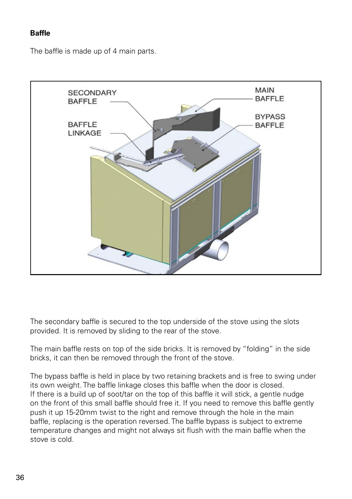### **Baffle**

The baffle is made up of 4 main parts.



The secondary baffle is secured to the top underside of the stove using the slots provided. It is removed by sliding to the rear of the stove.

The main baffle rests on top of the side bricks. It is removed by "folding" in the side bricks, it can then be removed through the front of the stove.

The bypass baffle is held in place by two retaining brackets and is free to swing under its own weight. The baffle linkage closes this baffle when the door is closed. If there is a build up of soot/tar on the top of this baffle it will stick, a gentle nudge on the front of this small baffle should free it. If you need to remove this baffle gently push it up 15-20mm twist to the right and remove through the hole in the main baffle, replacing is the operation reversed. The baffle bypass is subject to extreme temperature changes and might not always sit flush with the main baffle when the stove is cold.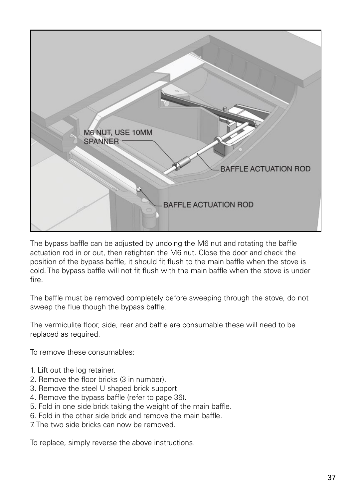

The bypass baffle can be adjusted by undoing the M6 nut and rotating the baffle actuation rod in or out, then retighten the M6 nut. Close the door and check the position of the bypass baffle, it should fit flush to the main baffle when the stove is cold. The bypass baffle will not fit flush with the main baffle when the stove is under fire.

The baffle must be removed completely before sweeping through the stove, do not sweep the flue though the bypass baffle.

The vermiculite floor, side, rear and baffle are consumable these will need to be replaced as required.

To remove these consumables:

- 1. Lift out the log retainer.
- 2. Remove the floor bricks (3 in number).
- 3. Remove the steel U shaped brick support.
- 4. Remove the bypass baffle (refer to page 36).
- 5. Fold in one side brick taking the weight of the main baffle.
- 6. Fold in the other side brick and remove the main baffle.
- 7. The two side bricks can now be removed.

To replace, simply reverse the above instructions.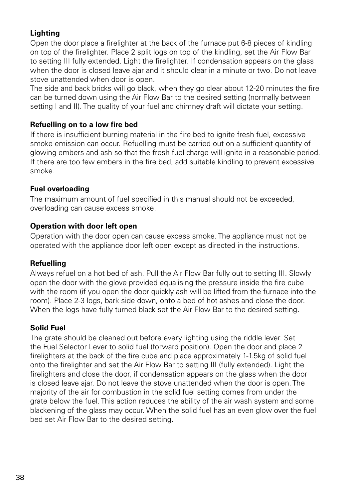### **Lighting**

Open the door place a firelighter at the back of the furnace put 6-8 pieces of kindling on top of the firelighter. Place 2 split logs on top of the kindling, set the Air Flow Bar to setting III fully extended. Light the firelighter. If condensation appears on the glass when the door is closed leave ajar and it should clear in a minute or two. Do not leave stove unattended when door is open.

The side and back bricks will go black, when they go clear about 12-20 minutes the fire can be turned down using the Air Flow Bar to the desired setting (normally between setting I and II). The quality of your fuel and chimney draft will dictate your setting.

### **Refuelling on to a low fire bed**

If there is insufficient burning material in the fire bed to ignite fresh fuel, excessive smoke emission can occur. Refuelling must be carried out on a sufficient quantity of glowing embers and ash so that the fresh fuel charge will ignite in a reasonable period. If there are too few embers in the fire bed, add suitable kindling to prevent excessive smoke.

### **Fuel overloading**

The maximum amount of fuel specified in this manual should not be exceeded, overloading can cause excess smoke.

### **Operation with door left open**

Operation with the door open can cause excess smoke. The appliance must not be operated with the appliance door left open except as directed in the instructions.

### **Refuelling**

Always refuel on a hot bed of ash. Pull the Air Flow Bar fully out to setting III. Slowly open the door with the glove provided equalising the pressure inside the fire cube with the room (if you open the door quickly ash will be lifted from the furnace into the room). Place 2-3 logs, bark side down, onto a bed of hot ashes and close the door. When the logs have fully turned black set the Air Flow Bar to the desired setting.

### **Solid Fuel**

The grate should be cleaned out before every lighting using the riddle lever. Set the Fuel Selector Lever to solid fuel (forward position). Open the door and place 2 firelighters at the back of the fire cube and place approximately 1-1.5kg of solid fuel onto the firelighter and set the Air Flow Bar to setting III (fully extended). Light the firelighters and close the door, if condensation appears on the glass when the door is closed leave ajar. Do not leave the stove unattended when the door is open. The majority of the air for combustion in the solid fuel setting comes from under the grate below the fuel. This action reduces the ability of the air wash system and some blackening of the glass may occur. When the solid fuel has an even glow over the fuel bed set Air Flow Bar to the desired setting.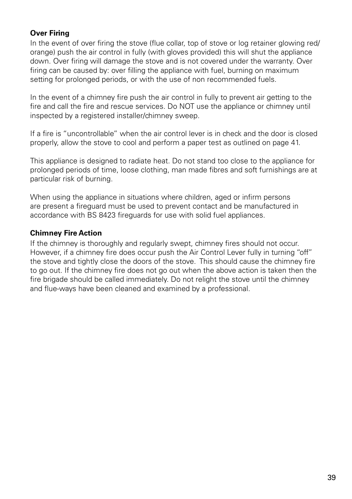### **Over Firing**

In the event of over firing the stove (flue collar, top of stove or log retainer glowing red/ orange) push the air control in fully (with gloves provided) this will shut the appliance down. Over firing will damage the stove and is not covered under the warranty. Over firing can be caused by: over filling the appliance with fuel, burning on maximum setting for prolonged periods, or with the use of non recommended fuels.

In the event of a chimney fire push the air control in fully to prevent air getting to the fire and call the fire and rescue services. Do NOT use the appliance or chimney until inspected by a registered installer/chimney sweep.

If a fire is "uncontrollable" when the air control lever is in check and the door is closed properly, allow the stove to cool and perform a paper test as outlined on page 41.

This appliance is designed to radiate heat. Do not stand too close to the appliance for prolonged periods of time, loose clothing, man made fibres and soft furnishings are at particular risk of burning.

When using the appliance in situations where children, aged or infirm persons are present a fireguard must be used to prevent contact and be manufactured in accordance with BS 8423 fireguards for use with solid fuel appliances.

### **Chimney Fire Action**

If the chimney is thoroughly and regularly swept, chimney fires should not occur. However, if a chimney fire does occur push the Air Control Lever fully in turning "off" the stove and tightly close the doors of the stove. This should cause the chimney fire to go out. If the chimney fire does not go out when the above action is taken then the fire brigade should be called immediately. Do not relight the stove until the chimney and flue-ways have been cleaned and examined by a professional.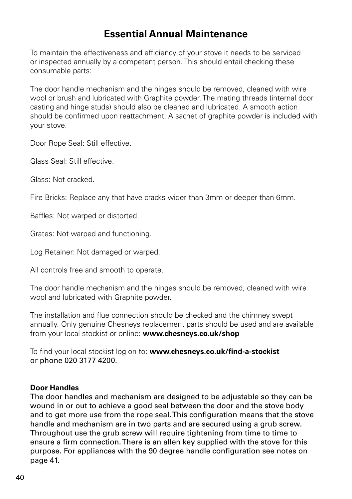# **Essential Annual Maintenance**

To maintain the effectiveness and efficiency of your stove it needs to be serviced or inspected annually by a competent person. This should entail checking these consumable parts:

The door handle mechanism and the hinges should be removed, cleaned with wire wool or brush and lubricated with Graphite powder. The mating threads (internal door casting and hinge studs) should also be cleaned and lubricated. A smooth action should be confirmed upon reattachment. A sachet of graphite powder is included with your stove.

Door Rope Seal: Still effective.

Glass Seal: Still effective.

Glass: Not cracked.

Fire Bricks: Replace any that have cracks wider than 3mm or deeper than 6mm.

Baffles: Not warped or distorted.

Grates: Not warped and functioning.

Log Retainer: Not damaged or warped.

All controls free and smooth to operate.

The door handle mechanism and the hinges should be removed, cleaned with wire wool and lubricated with Graphite powder.

The installation and flue connection should be checked and the chimney swept annually. Only genuine Chesneys replacement parts should be used and are available from your local stockist or online: **www.chesneys.co.uk/shop**

To find your local stockist log on to: **www.chesneys.co.uk/find-a-stockist**  or phone 020 3177 4200.

### **Door Handles**

The door handles and mechanism are designed to be adjustable so they can be wound in or out to achieve a good seal between the door and the stove body and to get more use from the rope seal. This configuration means that the stove handle and mechanism are in two parts and are secured using a grub screw. Throughout use the grub screw will require tightening from time to time to ensure a firm connection. There is an allen key supplied with the stove for this purpose. For appliances with the 90 degree handle configuration see notes on page 41.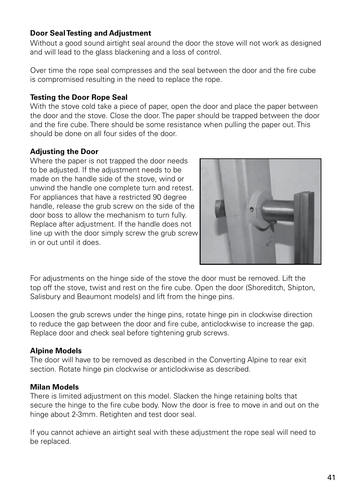### **Door Seal Testing and Adjustment**

Without a good sound airtight seal around the door the stove will not work as designed and will lead to the glass blackening and a loss of control.

Over time the rope seal compresses and the seal between the door and the fire cube is compromised resulting in the need to replace the rope.

### **Testing the Door Rope Seal**

With the stove cold take a piece of paper, open the door and place the paper between the door and the stove. Close the door. The paper should be trapped between the door and the fire cube. There should be some resistance when pulling the paper out. This should be done on all four sides of the door.

### **Adjusting the Door**

Where the paper is not trapped the door needs to be adjusted. If the adjustment needs to be made on the handle side of the stove, wind or unwind the handle one complete turn and retest. For appliances that have a restricted 90 degree handle, release the grub screw on the side of the door boss to allow the mechanism to turn fully. Replace after adjustment. If the handle does not line up with the door simply screw the grub screw in or out until it does.



For adjustments on the hinge side of the stove the door must be removed. Lift the top off the stove, twist and rest on the fire cube. Open the door (Shoreditch, Shipton, Salisbury and Beaumont models) and lift from the hinge pins.

Loosen the grub screws under the hinge pins, rotate hinge pin in clockwise direction to reduce the gap between the door and fire cube, anticlockwise to increase the gap. Replace door and check seal before tightening grub screws.

### **Alpine Models**

The door will have to be removed as described in the Converting Alpine to rear exit section. Rotate hinge pin clockwise or anticlockwise as described.

### **Milan Models**

There is limited adjustment on this model. Slacken the hinge retaining bolts that secure the hinge to the fire cube body. Now the door is free to move in and out on the hinge about 2-3mm. Retighten and test door seal.

If you cannot achieve an airtight seal with these adjustment the rope seal will need to be replaced.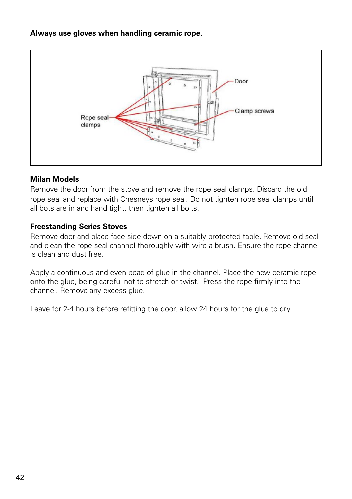### **Always use gloves when handling ceramic rope.**



### **Milan Models**

Remove the door from the stove and remove the rope seal clamps. Discard the old rope seal and replace with Chesneys rope seal. Do not tighten rope seal clamps until all bots are in and hand tight, then tighten all bolts.

### **Freestanding Series Stoves**

Remove door and place face side down on a suitably protected table. Remove old seal and clean the rope seal channel thoroughly with wire a brush. Ensure the rope channel is clean and dust free.

Apply a continuous and even bead of glue in the channel. Place the new ceramic rope onto the glue, being careful not to stretch or twist. Press the rope firmly into the channel. Remove any excess glue.

Leave for 2-4 hours before refitting the door, allow 24 hours for the glue to dry.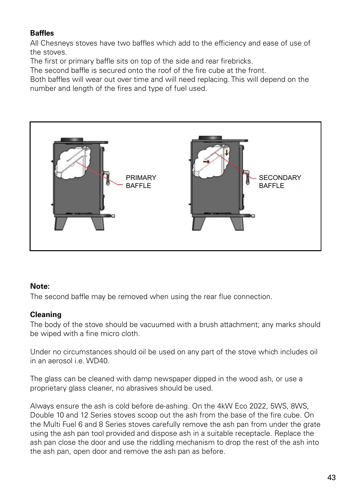### **Baffles**

All Chesneys stoves have two baffles which add to the efficiency and ease of use of the stoves.

The first or primary baffle sits on top of the side and rear firebricks.

The second baffle is secured onto the roof of the fire cube at the front.

Both baffles will wear out over time and will need replacing. This will depend on the number and length of the fires and type of fuel used.



### **Note:**

The second baffle may be removed when using the rear flue connection.

### **Cleaning**

The body of the stove should be vacuumed with a brush attachment; any marks should be wiped with a fine micro cloth.

Under no circumstances should oil be used on any part of the stove which includes oil in an aerosol i.e. WD40

The glass can be cleaned with damp newspaper dipped in the wood ash, or use a proprietary glass cleaner, no abrasives should be used.

Always ensure the ash is cold before de-ashing. On the 4kW Eco 2022, 5WS, 8WS, Double 10 and 12 Series stoves scoop out the ash from the base of the fire cube. On the Multi Fuel 6 and 8 Series stoves carefully remove the ash pan from under the grate using the ash pan tool provided and dispose ash in a suitable receptacle. Replace the ash pan close the door and use the riddling mechanism to drop the rest of the ash into the ash pan, open door and remove the ash pan as before.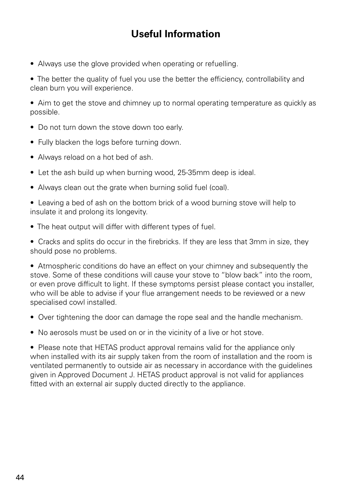# **Useful Information**

• Always use the glove provided when operating or refuelling.

• The better the quality of fuel you use the better the efficiency, controllability and clean burn you will experience.

• Aim to get the stove and chimney up to normal operating temperature as quickly as possible.

- Do not turn down the stove down too early.
- Fully blacken the logs before turning down.
- Always reload on a hot bed of ash.
- Let the ash build up when burning wood, 25-35mm deep is ideal.
- Always clean out the grate when burning solid fuel (coal).

• Leaving a bed of ash on the bottom brick of a wood burning stove will help to insulate it and prolong its longevity.

• The heat output will differ with different types of fuel.

• Cracks and splits do occur in the firebricks. If they are less that 3mm in size, they should pose no problems.

• Atmospheric conditions do have an effect on your chimney and subsequently the stove. Some of these conditions will cause your stove to "blow back" into the room, or even prove difficult to light. If these symptoms persist please contact you installer, who will be able to advise if your flue arrangement needs to be reviewed or a new specialised cowl installed.

- Over tightening the door can damage the rope seal and the handle mechanism.
- No aerosols must be used on or in the vicinity of a live or hot stove.

• Please note that HETAS product approval remains valid for the appliance only when installed with its air supply taken from the room of installation and the room is ventilated permanently to outside air as necessary in accordance with the guidelines given in Approved Document J. HETAS product approval is not valid for appliances fitted with an external air supply ducted directly to the appliance.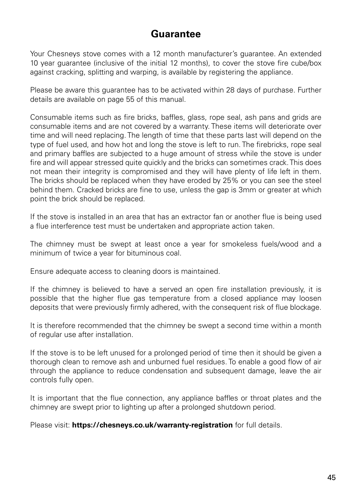### **Guarantee**

Your Chesneys stove comes with a 12 month manufacturer's guarantee. An extended 10 year guarantee (inclusive of the initial 12 months), to cover the stove fire cube/box against cracking, splitting and warping, is available by registering the appliance.

Please be aware this guarantee has to be activated within 28 days of purchase. Further details are available on page 55 of this manual.

Consumable items such as fire bricks, baffles, glass, rope seal, ash pans and grids are consumable items and are not covered by a warranty. These items will deteriorate over time and will need replacing. The length of time that these parts last will depend on the type of fuel used, and how hot and long the stove is left to run. The firebricks, rope seal and primary baffles are subjected to a huge amount of stress while the stove is under fire and will appear stressed quite quickly and the bricks can sometimes crack. This does not mean their integrity is compromised and they will have plenty of life left in them. The bricks should be replaced when they have eroded by 25% or you can see the steel behind them. Cracked bricks are fine to use, unless the gap is 3mm or greater at which point the brick should be replaced.

If the stove is installed in an area that has an extractor fan or another flue is being used a flue interference test must be undertaken and appropriate action taken.

The chimney must be swept at least once a year for smokeless fuels/wood and a minimum of twice a year for bituminous coal.

Ensure adequate access to cleaning doors is maintained.

If the chimney is believed to have a served an open fire installation previously, it is possible that the higher flue gas temperature from a closed appliance may loosen deposits that were previously firmly adhered, with the consequent risk of flue blockage.

It is therefore recommended that the chimney be swept a second time within a month of regular use after installation.

If the stove is to be left unused for a prolonged period of time then it should be given a thorough clean to remove ash and unburned fuel residues. To enable a good flow of air through the appliance to reduce condensation and subsequent damage, leave the air controls fully open.

It is important that the flue connection, any appliance baffles or throat plates and the chimney are swept prior to lighting up after a prolonged shutdown period.

Please visit: **https://chesneys.co.uk/warranty-registration** for full details.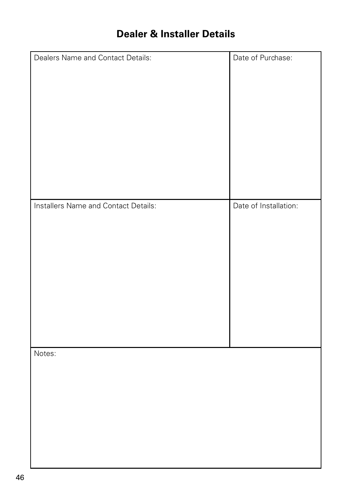# **Dealer & Installer Details**

| Dealers Name and Contact Details:    | Date of Purchase:     |
|--------------------------------------|-----------------------|
|                                      |                       |
|                                      |                       |
| Installers Name and Contact Details: | Date of Installation: |
| Notes:                               |                       |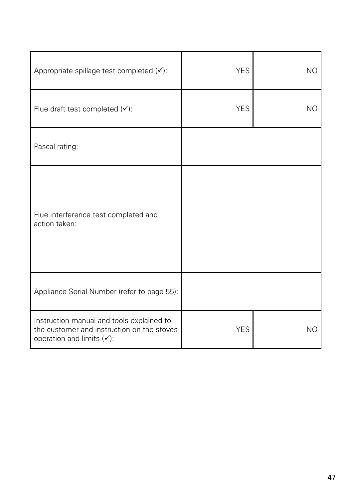| Appropriate spillage test completed (√):                                                                                | <b>YES</b> | <b>NO</b>      |
|-------------------------------------------------------------------------------------------------------------------------|------------|----------------|
| Flue draft test completed $(v)$ :                                                                                       | <b>YES</b> | N <sub>O</sub> |
| Pascal rating:                                                                                                          |            |                |
| Flue interference test completed and<br>action taken:                                                                   |            |                |
| Appliance Serial Number (refer to page 55):                                                                             |            |                |
| Instruction manual and tools explained to<br>the customer and instruction on the stoves<br>operation and limits $(v)$ : | <b>YES</b> | N <sub>O</sub> |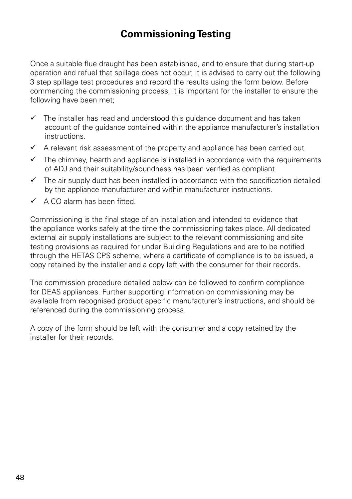# **Commissioning Testing**

Once a suitable flue draught has been established, and to ensure that during start-up operation and refuel that spillage does not occur, it is advised to carry out the following 3 step spillage test procedures and record the results using the form below. Before commencing the commissioning process, it is important for the installer to ensure the following have been met;

- $\checkmark$  The installer has read and understood this guidance document and has taken account of the guidance contained within the appliance manufacturer's installation instructions.
- $\checkmark$  A relevant risk assessment of the property and appliance has been carried out.
- $\checkmark$  The chimney, hearth and appliance is installed in accordance with the requirements of ADJ and their suitability/soundness has been verified as compliant.
- $\checkmark$  The air supply duct has been installed in accordance with the specification detailed by the appliance manufacturer and within manufacturer instructions.
- $\checkmark$  A CO alarm has been fitted.

Commissioning is the final stage of an installation and intended to evidence that the appliance works safely at the time the commissioning takes place. All dedicated external air supply installations are subject to the relevant commissioning and site testing provisions as required for under Building Regulations and are to be notified through the HETAS CPS scheme, where a certificate of compliance is to be issued, a copy retained by the installer and a copy left with the consumer for their records.

The commission procedure detailed below can be followed to confirm compliance for DEAS appliances. Further supporting information on commissioning may be available from recognised product specific manufacturer's instructions, and should be referenced during the commissioning process.

A copy of the form should be left with the consumer and a copy retained by the installer for their records.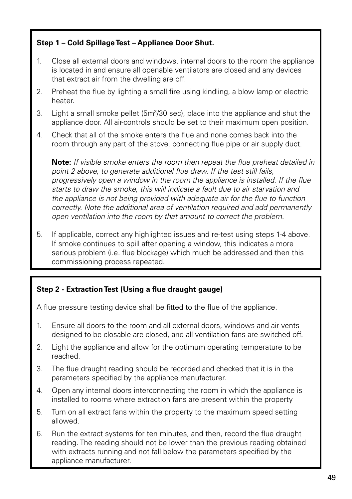### **Step 1 – Cold Spillage Test – Appliance Door Shut.**

- 1. Close all external doors and windows, internal doors to the room the appliance is located in and ensure all openable ventilators are closed and any devices that extract air from the dwelling are off.
- 2. Preheat the flue by lighting a small fire using kindling, a blow lamp or electric heater.
- 3. Light a small smoke pellet (5 $m^3/30$  sec), place into the appliance and shut the appliance door. All air-controls should be set to their maximum open position.
- 4. Check that all of the smoke enters the flue and none comes back into the room through any part of the stove, connecting flue pipe or air supply duct.

**Note:** *If visible smoke enters the room then repeat the flue preheat detailed in point 2 above, to generate additional flue draw. If the test still fails, progressively open a window in the room the appliance is installed. If the flue starts to draw the smoke, this will indicate a fault due to air starvation and the appliance is not being provided with adequate air for the flue to function correctly. Note the additional area of ventilation required and add permanently open ventilation into the room by that amount to correct the problem.*

5. If applicable, correct any highlighted issues and re-test using steps 1-4 above. If smoke continues to spill after opening a window, this indicates a more serious problem (i.e. flue blockage) which much be addressed and then this commissioning process repeated.

### **Step 2 - Extraction Test (Using a flue draught gauge)**

A flue pressure testing device shall be fitted to the flue of the appliance.

- 1. Ensure all doors to the room and all external doors, windows and air vents designed to be closable are closed, and all ventilation fans are switched off.
- 2. Light the appliance and allow for the optimum operating temperature to be reached.
- 3. The flue draught reading should be recorded and checked that it is in the parameters specified by the appliance manufacturer.
- 4. Open any internal doors interconnecting the room in which the appliance is installed to rooms where extraction fans are present within the property
- 5. Turn on all extract fans within the property to the maximum speed setting allowed.
- 6. Run the extract systems for ten minutes, and then, record the flue draught reading. The reading should not be lower than the previous reading obtained with extracts running and not fall below the parameters specified by the appliance manufacturer.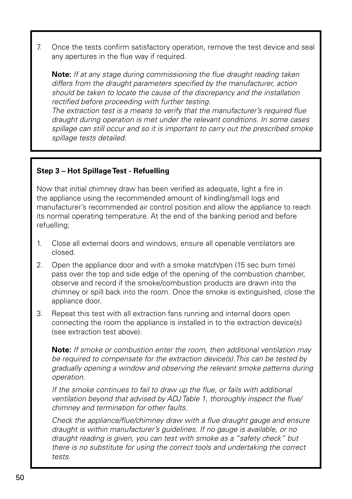7. Once the tests confirm satisfactory operation, remove the test device and seal any apertures in the flue way if required.

**Note:** *If at any stage during commissioning the flue draught reading taken differs from the draught parameters specified by the manufacturer, action should be taken to locate the cause of the discrepancy and the installation rectified before proceeding with further testing.*

*The extraction test is a means to verify that the manufacturer's required flue draught during operation is met under the relevant conditions. In some cases spillage can still occur and so it is important to carry out the prescribed smoke spillage tests detailed.*

### **Step 3 – Hot Spillage Test - Refuelling**

Now that initial chimney draw has been verified as adequate, light a fire in the appliance using the recommended amount of kindling/small logs and manufacturer's recommended air control position and allow the appliance to reach its normal operating temperature. At the end of the banking period and before refuelling;

- 1. Close all external doors and windows, ensure all openable ventilators are closed.
- 2. Open the appliance door and with a smoke match/pen (15 sec burn time) pass over the top and side edge of the opening of the combustion chamber, observe and record if the smoke/combustion products are drawn into the chimney or spill back into the room. Once the smoke is extinguished, close the appliance door.
- 3. Repeat this test with all extraction fans running and internal doors open connecting the room the appliance is installed in to the extraction device(s) (see extraction test above).

**Note:** *If smoke or combustion enter the room, then additional ventilation may be required to compensate for the extraction device(s).This can be tested by gradually opening a window and observing the relevant smoke patterns during operation.*

*If the smoke continues to fail to draw up the flue, or fails with additional ventilation beyond that advised by ADJ Table 1, thoroughly inspect the flue/ chimney and termination for other faults.*

*Check the appliance/flue/chimney draw with a flue draught gauge and ensure draught is within manufacturer's guidelines. If no gauge is available, or no draught reading is given, you can test with smoke as a "safety check" but there is no substitute for using the correct tools and undertaking the correct tests.*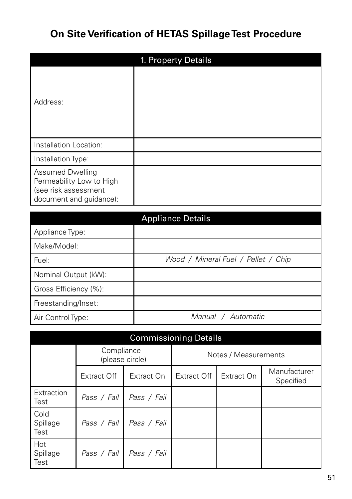# **On Site Verification of HETAS Spillage Test Procedure**

|                                                                                                        | 1. Property Details |
|--------------------------------------------------------------------------------------------------------|---------------------|
| Address:                                                                                               |                     |
| Installation Location:                                                                                 |                     |
| Installation Type:                                                                                     |                     |
| <b>Assumed Dwelling</b><br>Permeability Low to High<br>(see risk assessment<br>document and guidance): |                     |
|                                                                                                        | Annliance Detaile   |

|                       | <b>Appliance Details</b>            |
|-----------------------|-------------------------------------|
| Appliance Type:       |                                     |
| Make/Model:           |                                     |
| Fuel:                 | Wood / Mineral Fuel / Pellet / Chip |
| Nominal Output (kW):  |                                     |
| Gross Efficiency (%): |                                     |
| Freestanding/Inset:   |                                     |
| Air Control Type:     | Manual / Automatic                  |

|                            | <b>Commissioning Details</b>  |             |                      |            |                           |
|----------------------------|-------------------------------|-------------|----------------------|------------|---------------------------|
|                            | Compliance<br>(please circle) |             | Notes / Measurements |            |                           |
|                            | <b>Extract Off</b>            | Extract On  | Extract Off          | Extract On | Manufacturer<br>Specified |
| Extraction<br>l Test       | Pass / Fail                   | Pass / Fail |                      |            |                           |
| Cold<br>Spillage<br>l Test | Pass / Fail                   | Pass / Fail |                      |            |                           |
| Hot<br>Spillage<br>Test    | Pass / Fail                   | Pass / Fail |                      |            |                           |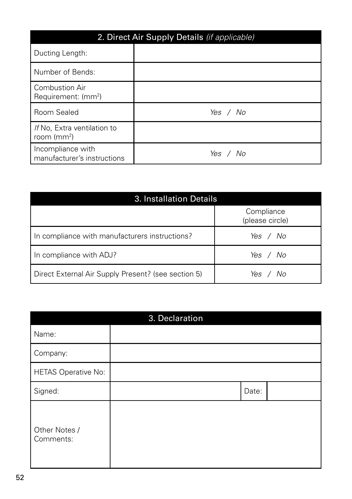| 2. Direct Air Supply Details (if applicable)      |          |  |
|---------------------------------------------------|----------|--|
| Ducting Length:                                   |          |  |
| Number of Bends:                                  |          |  |
| Combustion Air<br>Requirement: (mm <sup>2</sup> ) |          |  |
| Room Sealed                                       | Yes / No |  |
| If No. Extra ventilation to<br>room ( $mm2$ )     |          |  |
| Incompliance with<br>manufacturer's instructions  | Yes / No |  |

| 3. Installation Details                             |                               |  |
|-----------------------------------------------------|-------------------------------|--|
|                                                     | Compliance<br>(please circle) |  |
| In compliance with manufacturers instructions?      | Yes / No                      |  |
| In compliance with ADJ?                             | Yes / No                      |  |
| Direct External Air Supply Present? (see section 5) | Yes / No                      |  |

|                            | 3. Declaration |       |
|----------------------------|----------------|-------|
| Name:                      |                |       |
| Company:                   |                |       |
| HETAS Operative No:        |                |       |
| Signed:                    |                | Date: |
| Other Notes /<br>Comments: |                |       |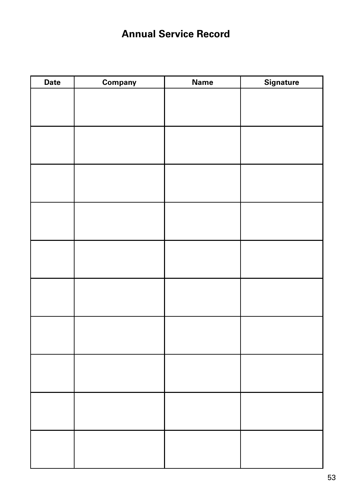# **Annual Service Record**

| <b>Date</b> | Company | <b>Name</b> | <b>Signature</b> |
|-------------|---------|-------------|------------------|
|             |         |             |                  |
|             |         |             |                  |
|             |         |             |                  |
|             |         |             |                  |
|             |         |             |                  |
|             |         |             |                  |
|             |         |             |                  |
|             |         |             |                  |
|             |         |             |                  |
|             |         |             |                  |
|             |         |             |                  |
|             |         |             |                  |
|             |         |             |                  |
|             |         |             |                  |
|             |         |             |                  |
|             |         |             |                  |
|             |         |             |                  |
|             |         |             |                  |
|             |         |             |                  |
|             |         |             |                  |
|             |         |             |                  |
|             |         |             |                  |
|             |         |             |                  |
|             |         |             |                  |
|             |         |             |                  |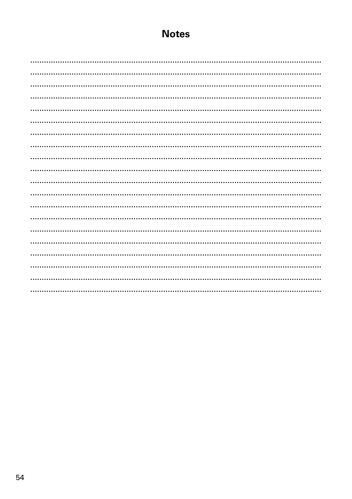### **Notes**